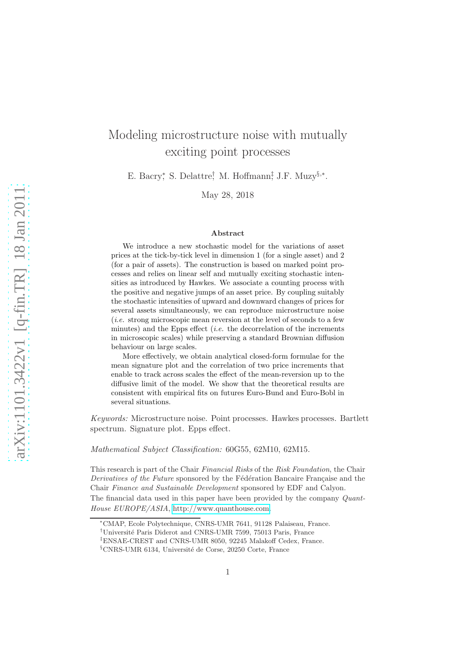# Modeling microstructure noise with mutually exciting point processes

E. Bacry, S. Delattre, M. Hoffmann, J.F. Muzy<sup>§,∗</sup>.

May 28, 2018

#### Abstract

We introduce a new stochastic model for the variations of asset prices at the tick-by-tick level in dimension 1 (for a single asset) and 2 (for a pair of assets). The construction is based on marked point processes and relies on linear self and mutually exciting stochastic intensities as introduced by Hawkes. We associate a counting process with the positive and negative jumps of an asset price. By coupling suitably the stochastic intensities of upward and downward changes of prices for several assets simultaneously, we can reproduce microstructure noise (*i.e.* strong microscopic mean reversion at the level of seconds to a few minutes) and the Epps effect (*i.e.* the decorrelation of the increments in microscopic scales) while preserving a standard Brownian diffusion behaviour on large scales.

More effectively, we obtain analytical closed-form formulae for the mean signature plot and the correlation of two price increments that enable to track across scales the effect of the mean-reversion up to the diffusive limit of the model. We show that the theoretical results are consistent with empirical fits on futures Euro-Bund and Euro-Bobl in several situations.

*Keywords:* Microstructure noise. Point processes. Hawkes processes. Bartlett spectrum. Signature plot. Epps effect.

*Mathematical Subject Classification:* 60G55, 62M10, 62M15.

This research is part of the Chair *Financial Risks* of the *Risk Foundation*, the Chair *Derivatives of the Future* sponsored by the Fédération Bancaire Française and the Chair *Finance and Sustainable Development* sponsored by EDF and Calyon. The financial data used in this paper have been provided by the company *Quant-House EUROPE/ASIA*, [http://www.quanthouse.com.](http://www.quanthouse.com)

<sup>∗</sup>CMAP, Ecole Polytechnique, CNRS-UMR 7641, 91128 Palaiseau, France.

<sup>&</sup>lt;sup>†</sup>Université Paris Diderot and CNRS-UMR 7599, 75013 Paris, France

<sup>‡</sup>ENSAE-CREST and CNRS-UMR 8050, 92245 Malakoff Cedex, France.

<sup>&</sup>lt;sup>§</sup>CNRS-UMR 6134, Université de Corse, 20250 Corte, France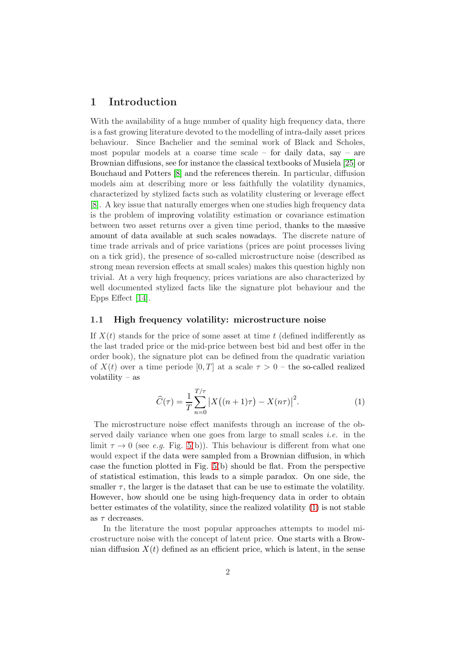# 1 Introduction

With the availability of a huge number of quality high frequency data, there is a fast growing literature devoted to the modelling of intra-daily asset prices behaviour. Since Bachelier and the seminal work of Black and Scholes, most popular models at a coarse time scale – for daily data, say – are Brownian diffusions, see for instance the classical textbooks of Musiela [\[25\]](#page-30-0) or Bouchaud and Potters [\[8\]](#page-28-0) and the references therein. In particular, diffusion models aim at describing more or less faithfully the volatility dynamics, characterized by stylized facts such as volatility clustering or leverage effect [\[8\]](#page-28-0). A key issue that naturally emerges when one studies high frequency data is the problem of improving volatility estimation or covariance estimation between two asset returns over a given time period, thanks to the massive amount of data available at such scales nowadays. The discrete nature of time trade arrivals and of price variations (prices are point processes living on a tick grid), the presence of so-called microstructure noise (described as strong mean reversion effects at small scales) makes this question highly non trivial. At a very high frequency, prices variations are also characterized by well documented stylized facts like the signature plot behaviour and the Epps Effect [\[14\]](#page-29-0).

### 1.1 High frequency volatility: microstructure noise

If  $X(t)$  stands for the price of some asset at time t (defined indifferently as the last traded price or the mid-price between best bid and best offer in the order book), the signature plot can be defined from the quadratic variation of  $X(t)$  over a time periode  $[0, T]$  at a scale  $\tau > 0$  – the so-called realized volatility – as

<span id="page-1-0"></span>
$$
\widehat{C}(\tau) = \frac{1}{T} \sum_{n=0}^{T/\tau} \left| X\big( (n+1)\tau \big) - X(n\tau) \right|^2.
$$
 (1)

The microstructure noise effect manifests through an increase of the observed daily variance when one goes from large to small scales *i.e.* in the limit  $\tau \to 0$  (see *e.g.* Fig. [5\(](#page-19-0)b)). This behaviour is different from what one would expect if the data were sampled from a Brownian diffusion, in which case the function plotted in Fig. [5\(](#page-19-0)b) should be flat. From the perspective of statistical estimation, this leads to a simple paradox. On one side, the smaller  $\tau$ , the larger is the dataset that can be use to estimate the volatility. However, how should one be using high-frequency data in order to obtain better estimates of the volatility, since the realized volatility [\(1\)](#page-1-0) is not stable as  $\tau$  decreases.

In the literature the most popular approaches attempts to model microstructure noise with the concept of latent price. One starts with a Brownian diffusion  $X(t)$  defined as an efficient price, which is latent, in the sense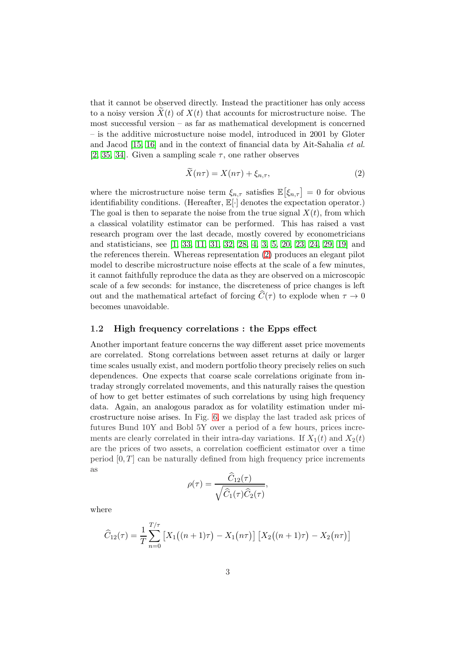that it cannot be observed directly. Instead the practitioner has only access to a noisy version  $\overline{X}(t)$  of  $X(t)$  that accounts for microstructure noise. The most successful version – as far as mathematical development is concerned – is the additive microstucture noise model, introduced in 2001 by Gloter and Jacod [\[15,](#page-29-1) [16\]](#page-29-2) and in the context of financial data by Ait-Sahalia *et al.* [\[2,](#page-28-1) [35,](#page-30-1) [34\]](#page-30-2). Given a sampling scale  $\tau$ , one rather observes

<span id="page-2-0"></span>
$$
\widetilde{X}(n\tau) = X(n\tau) + \xi_{n,\tau},\tag{2}
$$

where the microstructure noise term  $\xi_{n,\tau}$  satisfies  $\mathbb{E}[\xi_{n,\tau}] = 0$  for obvious identifiability conditions. (Hereafter, <sup>E</sup>[·] denotes the expectation operator.) The goal is then to separate the noise from the true signal  $X(t)$ , from which a classical volatility estimator can be performed. This has raised a vast research program over the last decade, mostly covered by econometricians and statisticians, see [\[1,](#page-28-2) [33,](#page-30-3) [11,](#page-29-3) [31,](#page-30-4) [32,](#page-30-5) [28,](#page-30-6) [4,](#page-28-3) [3,](#page-28-4) [5,](#page-28-5) [20,](#page-29-4) [23,](#page-29-5) [24,](#page-30-7) [29,](#page-30-8) [19\]](#page-29-6) and the references therein. Whereas representation [\(2\)](#page-2-0) produces an elegant pilot model to describe microstructure noise effects at the scale of a few minutes, it cannot faithfully reproduce the data as they are observed on a microscopic scale of a few seconds: for instance, the discreteness of price changes is left out and the mathematical artefact of forcing  $\widehat{C}(\tau)$  to explode when  $\tau \to 0$ becomes unavoidable.

### 1.2 High frequency correlations : the Epps effect

Another important feature concerns the way different asset price movements are correlated. Stong correlations between asset returns at daily or larger time scales usually exist, and modern portfolio theory precisely relies on such dependences. One expects that coarse scale correlations originate from intraday strongly correlated movements, and this naturally raises the question of how to get better estimates of such correlations by using high frequency data. Again, an analogous paradox as for volatility estimation under microstructure noise arises. In Fig. [6,](#page-20-0) we display the last traded ask prices of futures Bund 10Y and Bobl 5Y over a period of a few hours, prices increments are clearly correlated in their intra-day variations. If  $X_1(t)$  and  $X_2(t)$ are the prices of two assets, a correlation coefficient estimator over a time period  $[0, T]$  can be naturally defined from high frequency price increments as

$$
\rho(\tau) = \frac{\widehat{C}_{12}(\tau)}{\sqrt{\widehat{C}_{1}(\tau)\widehat{C}_{2}(\tau)}},
$$

where

$$
\widehat{C}_{12}(\tau) = \frac{1}{T} \sum_{n=0}^{T/\tau} \left[ X_1\big( (n+1)\tau \big) - X_1\big(n\tau \big) \right] \left[ X_2\big( (n+1)\tau \big) - X_2\big(n\tau \big) \right]
$$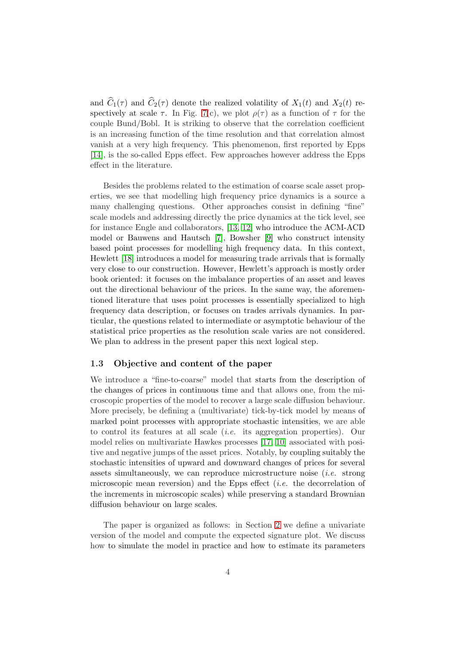and  $\hat{C}_1(\tau)$  and  $\hat{C}_2(\tau)$  denote the realized volatility of  $X_1(t)$  and  $X_2(t)$  respectively at scale  $\tau$ . In Fig. [7\(](#page-21-0)c), we plot  $\rho(\tau)$  as a function of  $\tau$  for the couple Bund/Bobl. It is striking to observe that the correlation coefficient is an increasing function of the time resolution and that correlation almost vanish at a very high frequency. This phenomenon, first reported by Epps [\[14\]](#page-29-0), is the so-called Epps effect. Few approaches however address the Epps effect in the literature.

Besides the problems related to the estimation of coarse scale asset properties, we see that modelling high frequency price dynamics is a source a many challenging questions. Other approaches consist in defining "fine" scale models and addressing directly the price dynamics at the tick level, see for instance Engle and collaborators, [\[13,](#page-29-7) [12\]](#page-29-8) who introduce the ACM-ACD model or Bauwens and Hautsch [\[7\]](#page-28-6), Bowsher [\[9\]](#page-28-7) who construct intensity based point processes for modelling high frequency data. In this context, Hewlett [\[18\]](#page-29-9) introduces a model for measuring trade arrivals that is formally very close to our construction. However, Hewlett's approach is mostly order book oriented: it focuses on the imbalance properties of an asset and leaves out the directional behaviour of the prices. In the same way, the aforementioned literature that uses point processes is essentially specialized to high frequency data description, or focuses on trades arrivals dynamics. In particular, the questions related to intermediate or asymptotic behaviour of the statistical price properties as the resolution scale varies are not considered. We plan to address in the present paper this next logical step.

### 1.3 Objective and content of the paper

We introduce a "fine-to-coarse" model that starts from the description of the changes of prices in continuous time and that allows one, from the microscopic properties of the model to recover a large scale diffusion behaviour. More precisely, be defining a (multivariate) tick-by-tick model by means of marked point processes with appropriate stochastic intensities, we are able to control its features at all scale (*i.e.* its aggregation properties). Our model relies on multivariate Hawkes processes [\[17,](#page-29-10) [10\]](#page-29-11) associated with positive and negative jumps of the asset prices. Notably, by coupling suitably the stochastic intensities of upward and downward changes of prices for several assets simultaneously, we can reproduce microstructure noise (*i.e.* strong microscopic mean reversion) and the Epps effect (*i.e.* the decorrelation of the increments in microscopic scales) while preserving a standard Brownian diffusion behaviour on large scales.

The paper is organized as follows: in Section [2](#page-4-0) we define a univariate version of the model and compute the expected signature plot. We discuss how to simulate the model in practice and how to estimate its parameters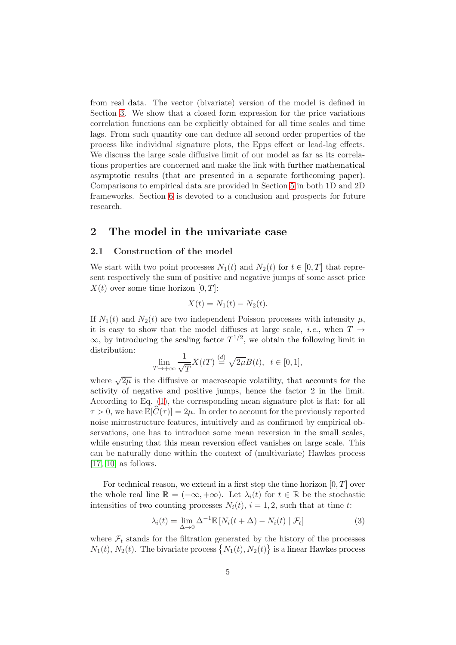from real data. The vector (bivariate) version of the model is defined in Section [3.](#page-8-0) We show that a closed form expression for the price variations correlation functions can be explicitly obtained for all time scales and time lags. From such quantity one can deduce all second order properties of the process like individual signature plots, the Epps effect or lead-lag effects. We discuss the large scale diffusive limit of our model as far as its correlations properties are concerned and make the link with further mathematical asymptotic results (that are presented in a separate forthcoming paper). Comparisons to empirical data are provided in Section [5](#page-16-0) in both 1D and 2D frameworks. Section [6](#page-18-0) is devoted to a conclusion and prospects for future research.

# <span id="page-4-1"></span><span id="page-4-0"></span>2 The model in the univariate case

### 2.1 Construction of the model

We start with two point processes  $N_1(t)$  and  $N_2(t)$  for  $t \in [0, T]$  that represent respectively the sum of positive and negative jumps of some asset price  $X(t)$  over some time horizon [0, T]:

$$
X(t) = N_1(t) - N_2(t).
$$

If  $N_1(t)$  and  $N_2(t)$  are two independent Poisson processes with intensity  $\mu$ , it is easy to show that the model diffuses at large scale, *i.e.*, when  $T \rightarrow$  $\infty$ , by introducing the scaling factor  $T^{1/2}$ , we obtain the following limit in distribution:

$$
\lim_{T \to +\infty} \frac{1}{\sqrt{T}} X(tT) \stackrel{(d)}{=} \sqrt{2\mu} B(t), \ \ t \in [0,1],
$$

where  $\sqrt{2\mu}$  is the diffusive or macroscopic volatility, that accounts for the activity of negative and positive jumps, hence the factor 2 in the limit. According to Eq. [\(1\)](#page-1-0), the corresponding mean signature plot is flat: for all  $\tau > 0$ , we have  $\mathbb{E}[C(\tau)] = 2\mu$ . In order to account for the previously reported noise microstructure features, intuitively and as confirmed by empirical observations, one has to introduce some mean reversion in the small scales, while ensuring that this mean reversion effect vanishes on large scale. This can be naturally done within the context of (multivariate) Hawkes process  $[17, 10]$  $[17, 10]$  as follows.

For technical reason, we extend in a first step the time horizon  $[0, T]$  over the whole real line  $\mathbb{R} = (-\infty, +\infty)$ . Let  $\lambda_i(t)$  for  $t \in \mathbb{R}$  be the stochastic intensities of two counting processes  $N_i(t)$ ,  $i = 1, 2$ , such that at time t:

$$
\lambda_i(t) = \lim_{\Delta \to 0} \Delta^{-1} \mathbb{E} \left[ N_i(t + \Delta) - N_i(t) \mid \mathcal{F}_t \right] \tag{3}
$$

where  $\mathcal{F}_t$  stands for the filtration generated by the history of the processes  $N_1(t)$ ,  $N_2(t)$ . The bivariate process  $\{N_1(t), N_2(t)\}\$ is a linear Hawkes process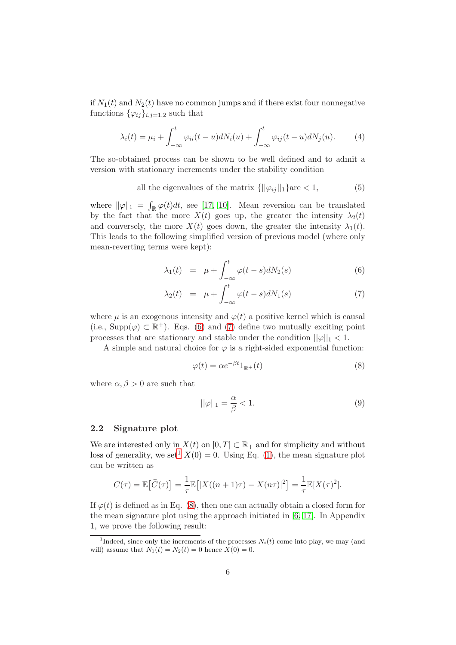if  $N_1(t)$  and  $N_2(t)$  have no common jumps and if there exist four nonnegative functions  $\{\varphi_{ij}\}_{i,j=1,2}$  such that

$$
\lambda_i(t) = \mu_i + \int_{-\infty}^t \varphi_{ii}(t-u)dN_i(u) + \int_{-\infty}^t \varphi_{ij}(t-u)dN_j(u). \tag{4}
$$

The so-obtained process can be shown to be well defined and to admit a version with stationary increments under the stability condition

all the eigenvalues of the matrix  $\{||\varphi_{ij}||_1\}$ are  $\langle 1,$  (5)

where  $\|\varphi\|_1 = \int_{\mathbb{R}} \varphi(t) dt$ , see [\[17,](#page-29-10) [10\]](#page-29-11). Mean reversion can be translated by the fact that the more  $X(t)$  goes up, the greater the intensity  $\lambda_2(t)$ and conversely, the more  $X(t)$  goes down, the greater the intensity  $\lambda_1(t)$ . This leads to the following simplified version of previous model (where only mean-reverting terms were kept):

<span id="page-5-0"></span>
$$
\lambda_1(t) = \mu + \int_{-\infty}^t \varphi(t-s)dN_2(s) \tag{6}
$$

$$
\lambda_2(t) = \mu + \int_{-\infty}^t \varphi(t-s)dN_1(s) \tag{7}
$$

where  $\mu$  is an exogenous intensity and  $\varphi(t)$  a positive kernel which is causal (i.e.,  $\text{Supp}(\varphi) \subset \mathbb{R}^+$ ). Eqs. [\(6\)](#page-5-0) and [\(7\)](#page-5-0) define two mutually exciting point processes that are stationary and stable under the condition  $||\varphi||_1 < 1$ .

A simple and natural choice for  $\varphi$  is a right-sided exponential function:

<span id="page-5-2"></span>
$$
\varphi(t) = \alpha e^{-\beta t} \mathbf{1}_{\mathbb{R}^+}(t) \tag{8}
$$

where  $\alpha, \beta > 0$  are such that

<span id="page-5-3"></span>
$$
||\varphi||_1 = \frac{\alpha}{\beta} < 1. \tag{9}
$$

#### 2.2 Signature plot

We are interested only in  $X(t)$  on  $[0, T] \subset \mathbb{R}_+$  and for simplicity and without loss of generality, we set  $X(0) = 0$ . Using Eq. ([1](#page-5-1)), the mean signature plot can be written as

$$
C(\tau) = \mathbb{E}\big[\widehat{C}(\tau)\big] = \frac{1}{\tau} \mathbb{E}\big[|X((n+1)\tau) - X(n\tau)|^2\big] = \frac{1}{\tau} \mathbb{E}[X(\tau)^2].
$$

If  $\varphi(t)$  is defined as in Eq. [\(8\)](#page-5-2), then one can actually obtain a closed form for the mean signature plot using the approach initiated in [\[6,](#page-28-8) [17\]](#page-29-10). In Appendix 1, we prove the following result:

<span id="page-5-1"></span><sup>&</sup>lt;sup>1</sup>Indeed, since only the increments of the processes  $N_i(t)$  come into play, we may (and will) assume that  $N_1(t) = N_2(t) = 0$  hence  $X(0) = 0$ .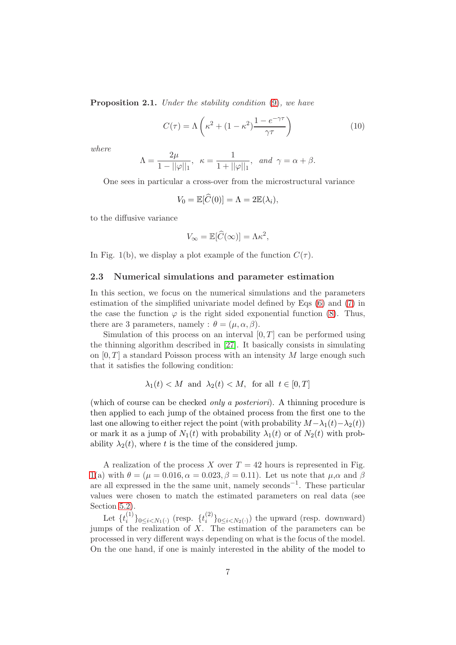<span id="page-6-2"></span>Proposition 2.1. *Under the stability condition* [\(9\)](#page-5-3)*, we have*

<span id="page-6-0"></span>
$$
C(\tau) = \Lambda \left( \kappa^2 + (1 - \kappa^2) \frac{1 - e^{-\gamma \tau}}{\gamma \tau} \right)
$$
 (10)

*where*

$$
\Lambda = \frac{2\mu}{1 - ||\varphi||_1}, \ \kappa = \frac{1}{1 + ||\varphi||_1}, \ \text{and } \gamma = \alpha + \beta.
$$

One sees in particular a cross-over from the microstructural variance

$$
V_0 = \mathbb{E}[\widehat{C}(0)] = \Lambda = 2\mathbb{E}(\lambda_i),
$$

to the diffusive variance

$$
V_{\infty} = \mathbb{E}[\widehat{C}(\infty)] = \Lambda \kappa^2,
$$

In Fig. 1(b), we display a plot example of the function  $C(\tau)$ .

### <span id="page-6-1"></span>2.3 Numerical simulations and parameter estimation

In this section, we focus on the numerical simulations and the parameters estimation of the simplified univariate model defined by Eqs [\(6\)](#page-5-0) and [\(7\)](#page-5-0) in the case the function  $\varphi$  is the right sided exponential function [\(8\)](#page-5-2). Thus, there are 3 parameters, namely :  $\theta = (\mu, \alpha, \beta)$ .

Simulation of this process on an interval  $[0, T]$  can be performed using the thinning algorithm described in [\[27\]](#page-30-9). It basically consists in simulating on  $[0, T]$  a standard Poisson process with an intensity M large enough such that it satisfies the following condition:

$$
\lambda_1(t) < M
$$
 and  $\lambda_2(t) < M$ , for all  $t \in [0, T]$ 

(which of course can be checked *only a posteriori*). A thinning procedure is then applied to each jump of the obtained process from the first one to the last one allowing to either reject the point (with probability  $M-\lambda_1(t)-\lambda_2(t)$ ) or mark it as a jump of  $N_1(t)$  with probability  $\lambda_1(t)$  or of  $N_2(t)$  with probability  $\lambda_2(t)$ , where t is the time of the considered jump.

A realization of the process X over  $T = 42$  hours is represented in Fig. [1\(](#page-9-0)a) with  $\theta = (\mu = 0.016, \alpha = 0.023, \beta = 0.11)$ . Let us note that  $\mu, \alpha$  and  $\beta$ are all expressed in the the same unit, namely seconds<sup>-1</sup>. These particular values were chosen to match the estimated parameters on real data (see Section [5.2\)](#page-17-0).

Let  $\{t_i^{(1)}\}$  $\{t_i^{(1)}\}_{0 \leq i < N_1(\cdot)}$  (resp.  $\{t_i^{(2)}\}$  $\binom{2}{i}$ <sub>0≤i<N<sub>2</sub>(·)</sub> the upward (resp. downward) jumps of the realization of X. The estimation of the parameters can be processed in very different ways depending on what is the focus of the model. On the one hand, if one is mainly interested in the ability of the model to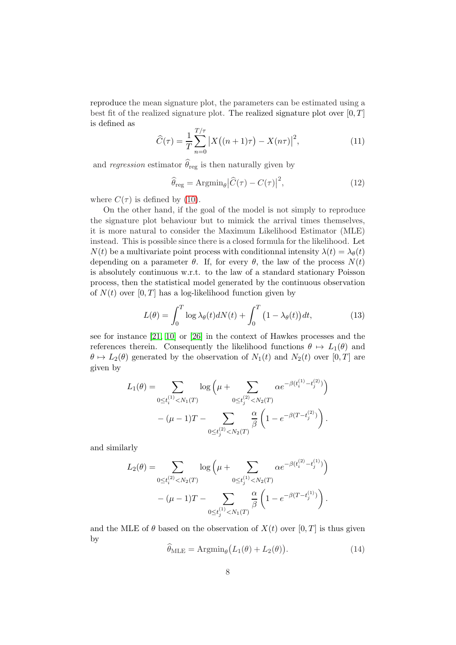reproduce the mean signature plot, the parameters can be estimated using a best fit of the realized signature plot. The realized signature plot over  $[0, T]$ is defined as

<span id="page-7-0"></span>
$$
\widehat{C}(\tau) = \frac{1}{T} \sum_{n=0}^{T/\tau} \left| X\left( (n+1)\tau \right) - X(n\tau) \right|^2, \tag{11}
$$

and *regression* estimator  $\theta_{reg}$  is then naturally given by

$$
\widehat{\theta}_{\text{reg}} = \text{Argmin}_{\theta} |\widehat{C}(\tau) - C(\tau)|^2, \tag{12}
$$

where  $C(\tau)$  is defined by [\(10\)](#page-6-0).

On the other hand, if the goal of the model is not simply to reproduce the signature plot behaviour but to mimick the arrival times themselves, it is more natural to consider the Maximum Likelihood Estimator (MLE) instead. This is possible since there is a closed formula for the likelihood. Let  $N(t)$  be a multivariate point process with conditionnal intensity  $\lambda(t) = \lambda_{\theta}(t)$ depending on a parameter  $\theta$ . If, for every  $\theta$ , the law of the process  $N(t)$ is absolutely continuous w.r.t. to the law of a standard stationary Poisson process, then the statistical model generated by the continuous observation of  $N(t)$  over [0, T] has a log-likelihood function given by

<span id="page-7-1"></span>
$$
L(\theta) = \int_0^T \log \lambda_\theta(t) dN(t) + \int_0^T \left(1 - \lambda_\theta(t)\right) dt,\tag{13}
$$

see for instance [\[21,](#page-29-12) [10\]](#page-29-11) or [\[26\]](#page-30-10) in the context of Hawkes processes and the references therein. Consequently the likelihood functions  $\theta \mapsto L_1(\theta)$  and  $\theta \mapsto L_2(\theta)$  generated by the observation of  $N_1(t)$  and  $N_2(t)$  over  $[0, T]$  are given by

$$
L_1(\theta) = \sum_{0 \le t_i^{(1)} < N_1(T)} \log \left( \mu + \sum_{0 \le t_j^{(2)} < N_2(T)} \alpha e^{-\beta (t_i^{(1)} - t_j^{(2)})} \right) - (\mu - 1)T - \sum_{0 \le t_j^{(2)} < N_2(T)} \frac{\alpha}{\beta} \left( 1 - e^{-\beta (T - t_j^{(2)})} \right).
$$

and similarly

$$
L_2(\theta) = \sum_{0 \le t_i^{(2)} < N_2(T)} \log \left( \mu + \sum_{0 \le t_j^{(1)} < N_2(T)} \alpha e^{-\beta (t_i^{(2)} - t_j^{(1)})} \right) - (\mu - 1)T - \sum_{0 \le t_j^{(1)} < N_1(T)} \frac{\alpha}{\beta} \left( 1 - e^{-\beta (T - t_j^{(1)})} \right).
$$

and the MLE of  $\theta$  based on the observation of  $X(t)$  over  $[0, T]$  is thus given by

$$
\widehat{\theta}_{MLE} = \operatorname{Argmin}_{\theta} (L_1(\theta) + L_2(\theta)). \tag{14}
$$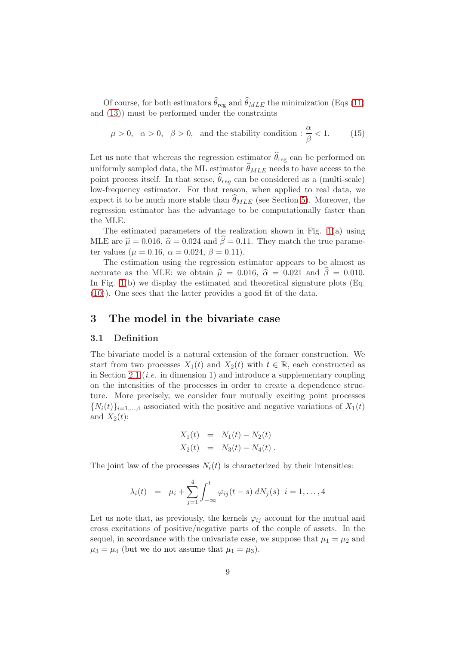Of course, for both estimators  $\theta_{reg}$  and  $\theta_{MLE}$  the minimization (Eqs [\(11\)](#page-7-0) and [\(13\)](#page-7-1)) must be performed under the constraints

$$
\mu > 0, \quad \alpha > 0, \quad \beta > 0, \quad \text{and the stability condition}: \frac{\alpha}{\beta} < 1. \tag{15}
$$

Let us note that whereas the regression estimator  $\theta_{\text{reg}}$  can be performed on uniformly sampled data, the ML estimator  $\hat{\theta}_{MLE}$  needs to have access to the point process itself. In that sense,  $\theta_{reg}$  can be considered as a (multi-scale) low-frequency estimator. For that reason, when applied to real data, we expect it to be much more stable than  $\theta_{MLE}$  (see Section [5\)](#page-16-0). Moreover, the regression estimator has the advantage to be computationally faster than the MLE.

The estimated parameters of the realization shown in Fig. [1\(](#page-9-0)a) using MLE are  $\hat{\mu} = 0.016$ ,  $\hat{\alpha} = 0.024$  and  $\hat{\beta} = 0.11$ . They match the true parameter values ( $\mu = 0.16$ ,  $\alpha = 0.024$ ,  $\beta = 0.11$ ).

The estimation using the regression estimator appears to be almost as accurate as the MLE: we obtain  $\hat{\mu} = 0.016$ ,  $\hat{\alpha} = 0.021$  and  $\hat{\beta} = 0.010$ . In Fig. [1\(](#page-9-0)b) we display the estimated and theoretical signature plots (Eq. [\(10\)](#page-6-0)). One sees that the latter provides a good fit of the data.

## <span id="page-8-0"></span>3 The model in the bivariate case

#### 3.1 Definition

The bivariate model is a natural extension of the former construction. We start from two processes  $X_1(t)$  and  $X_2(t)$  with  $t \in \mathbb{R}$ , each constructed as in Section [2.1](#page-4-1) (*i.e.* in dimension 1) and introduce a supplementary coupling on the intensities of the processes in order to create a dependence structure. More precisely, we consider four mutually exciting point processes  ${N_i(t)}_{i=1,\ldots,4}$  associated with the positive and negative variations of  $X_1(t)$ and  $X_2(t)$ :

$$
X_1(t) = N_1(t) - N_2(t)
$$
  

$$
X_2(t) = N_3(t) - N_4(t).
$$

The joint law of the processes  $N_i(t)$  is characterized by their intensities:

$$
\lambda_i(t) = \mu_i + \sum_{j=1}^4 \int_{-\infty}^t \varphi_{ij}(t-s) \, dN_j(s) \, i = 1, \dots, 4
$$

Let us note that, as previously, the kernels  $\varphi_{ij}$  account for the mutual and cross excitations of positive/negative parts of the couple of assets. In the sequel, in accordance with the univariate case, we suppose that  $\mu_1 = \mu_2$  and  $\mu_3 = \mu_4$  (but we do not assume that  $\mu_1 = \mu_3$ ).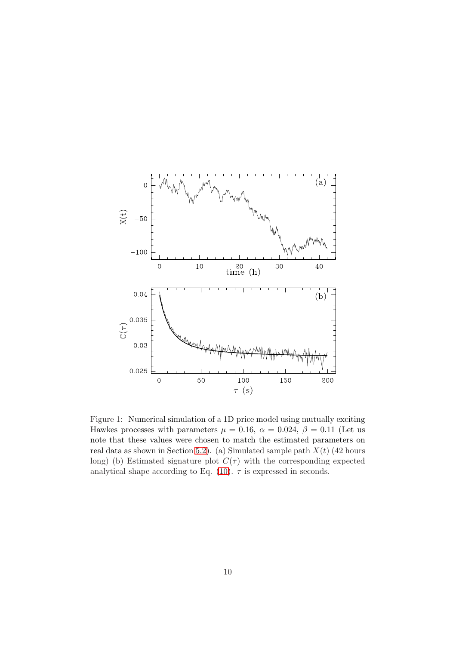

<span id="page-9-0"></span>Figure 1: Numerical simulation of a 1D price model using mutually exciting Hawkes processes with parameters  $\mu = 0.16$ ,  $\alpha = 0.024$ ,  $\beta = 0.11$  (Let us note that these values were chosen to match the estimated parameters on real data as shown in Section [5.2\)](#page-17-0). (a) Simulated sample path  $X(t)$  (42 hours long) (b) Estimated signature plot  $C(\tau)$  with the corresponding expected analytical shape according to Eq. [\(10\)](#page-6-0).  $\tau$  is expressed in seconds.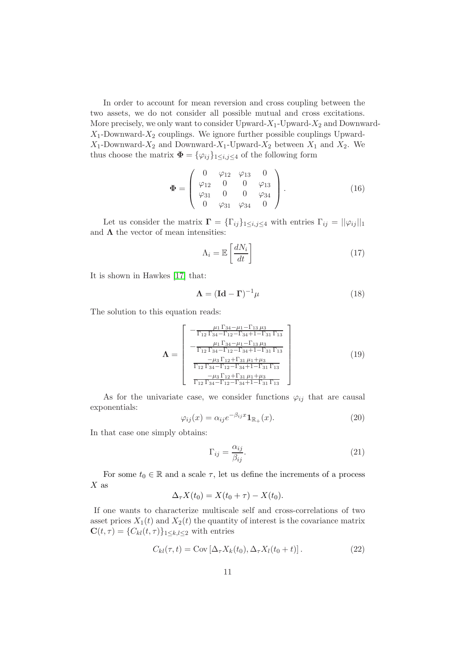In order to account for mean reversion and cross coupling between the two assets, we do not consider all possible mutual and cross excitations. More precisely, we only want to consider  $Upward - X_1-Upward - X_2$  and Downward- $X_1$ -Downward- $X_2$  couplings. We ignore further possible couplings Upward- $X_1$ -Downward- $X_2$  and Downward- $X_1$ -Upward- $X_2$  between  $X_1$  and  $X_2$ . We thus choose the matrix  $\mathbf{\Phi} = {\varphi_{ij}}_{1 \leq i,j \leq 4}$  of the following form

<span id="page-10-1"></span>
$$
\mathbf{\Phi} = \begin{pmatrix} 0 & \varphi_{12} & \varphi_{13} & 0 \\ \varphi_{12} & 0 & 0 & \varphi_{13} \\ \varphi_{31} & 0 & 0 & \varphi_{34} \\ 0 & \varphi_{31} & \varphi_{34} & 0 \end{pmatrix} .
$$
 (16)

Let us consider the matrix  $\mathbf{\Gamma} = {\{\Gamma_{ij}\}_{1 \le i,j \le 4}}$  with entries  $\Gamma_{ij} = ||\varphi_{ij}||_1$ and  $\Lambda$  the vector of mean intensities:

$$
\Lambda_i = \mathbb{E}\left[\frac{dN_i}{dt}\right] \tag{17}
$$

It is shown in Hawkes [\[17\]](#page-29-10) that:

$$
\Lambda = (\mathrm{Id} - \Gamma)^{-1} \mu \tag{18}
$$

The solution to this equation reads:

<span id="page-10-2"></span>
$$
\Lambda = \begin{bmatrix} -\frac{\mu_1 \Gamma_{34} - \mu_1 - \Gamma_{13} \mu_3}{\Gamma_{12} \Gamma_{34} - \Gamma_{12} - \Gamma_{34} + 1 - \Gamma_{31} \Gamma_{13}} \\ -\frac{\mu_1 \Gamma_{34} - \mu_1 - \Gamma_{13} \mu_3}{\Gamma_{12} \Gamma_{34} - \Gamma_{12} - \Gamma_{34} + 1 - \Gamma_{31} \Gamma_{13}} \\ \frac{-\mu_3 \Gamma_{12} + \Gamma_{31} \mu_1 + \mu_3}{\Gamma_{12} \Gamma_{34} - \Gamma_{12} - \Gamma_{34} + 1 - \Gamma_{31} \Gamma_{13}} \\ \frac{-\mu_3 \Gamma_{12} + \Gamma_{31} \mu_1 + \mu_3}{\Gamma_{12} \Gamma_{34} - \Gamma_{12} - \Gamma_{34} + 1 - \Gamma_{31} \Gamma_{13}} \end{bmatrix} \tag{19}
$$

As for the univariate case, we consider functions  $\varphi_{ij}$  that are causal exponentials:

<span id="page-10-3"></span>
$$
\varphi_{ij}(x) = \alpha_{ij} e^{-\beta_{ij} x} \mathbf{1}_{\mathbb{R}_+}(x). \tag{20}
$$

In that case one simply obtains:

$$
\Gamma_{ij} = \frac{\alpha_{ij}}{\beta_{ij}}.\tag{21}
$$

For some  $t_0 \in \mathbb{R}$  and a scale  $\tau$ , let us define the increments of a process  $X$  as

$$
\Delta_{\tau}X(t_0) = X(t_0 + \tau) - X(t_0).
$$

If one wants to characterize multiscale self and cross-correlations of two asset prices  $X_1(t)$  and  $X_2(t)$  the quantity of interest is the covariance matrix  $\mathbf{C}(t, \tau) = \{C_{kl}(t, \tau)\}_{1 \leq k, l \leq 2}$  with entries

<span id="page-10-0"></span>
$$
C_{kl}(\tau, t) = \text{Cov} \left[ \Delta_\tau X_k(t_0), \Delta_\tau X_l(t_0 + t) \right]. \tag{22}
$$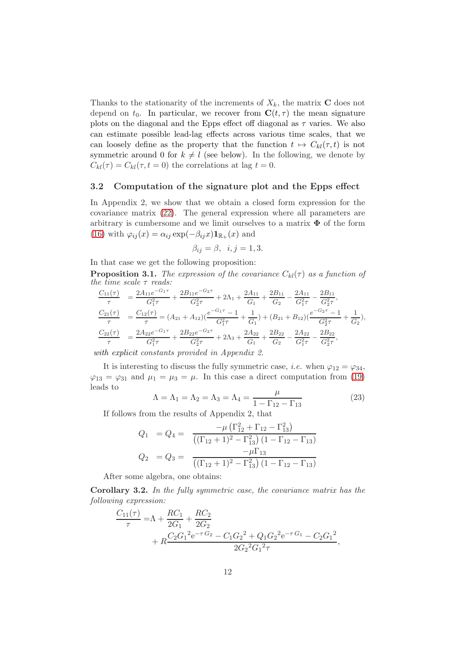Thanks to the stationarity of the increments of  $X_k$ , the matrix C does not depend on  $t_0$ . In particular, we recover from  $\mathbf{C}(t, \tau)$  the mean signature plots on the diagonal and the Epps effect off diagonal as  $\tau$  varies. We also can estimate possible lead-lag effects across various time scales, that we can loosely define as the property that the function  $t \mapsto C_{kl}(\tau, t)$  is not symmetric around 0 for  $k \neq l$  (see below). In the following, we denote by  $C_{kl}(\tau) = C_{kl}(\tau, t = 0)$  the correlations at lag  $t = 0$ .

### 3.2 Computation of the signature plot and the Epps effect

In Appendix 2, we show that we obtain a closed form expression for the covariance matrix [\(22\)](#page-10-0). The general expression where all parameters are arbitrary is cumbersome and we limit ourselves to a matrix  $\Phi$  of the form [\(16\)](#page-10-1) with  $\varphi_{ij}(x) = \alpha_{ij} \exp(-\beta_{ij} x) \mathbf{1}_{\mathbb{R}_+}(x)$  and

$$
\beta_{ij} = \beta, \ \ i, j = 1, 3.
$$

In that case we get the following proposition:

<span id="page-11-1"></span>**Proposition 3.1.** *The expression of the covariance*  $C_{kl}(\tau)$  *as a function of the time scale* τ *reads:*

$$
\frac{C_{11}(\tau)}{\tau} = \frac{2A_{11}e^{-G_1\tau}}{G_1^2\tau} + \frac{2B_{11}e^{-G_2\tau}}{G_2^2\tau} + 2\Lambda_1 + \frac{2A_{11}}{G_1} + \frac{2B_{11}}{G_2} - \frac{2A_{11}}{G_1^2\tau} - \frac{2B_{11}}{G_2^2\tau},
$$
\n
$$
\frac{C_{21}(\tau)}{\tau} = \frac{C_{12}(\tau)}{\tau} = (A_{21} + A_{12})(\frac{e^{-G_1\tau} - 1}{G_1^2\tau} + \frac{1}{G_1}) + (B_{21} + B_{12})(\frac{e^{-G_2\tau} - 1}{G_2^2\tau} + \frac{1}{G_2}),
$$
\n
$$
\frac{C_{22}(\tau)}{\tau} = \frac{2A_{22}e^{-G_1\tau}}{G_1^2\tau} + \frac{2B_{22}e^{-G_2\tau}}{G_2^2\tau} + 2\Lambda_3 + \frac{2A_{22}}{G_1} + \frac{2B_{22}}{G_2} - \frac{2A_{22}}{G_1^2\tau} - \frac{2B_{22}}{G_2^2\tau},
$$

*with explicit constants provided in Appendix 2.*

It is interesting to discuss the fully symmetric case, *i.e.* when  $\varphi_{12} = \varphi_{34}$ ,  $\varphi_{13} = \varphi_{31}$  and  $\mu_1 = \mu_3 = \mu$ . In this case a direct computation from [\(19\)](#page-10-2) leads to

$$
\Lambda = \Lambda_1 = \Lambda_2 = \Lambda_3 = \Lambda_4 = \frac{\mu}{1 - \Gamma_{12} - \Gamma_{13}}
$$
(23)

If follows from the results of Appendix 2, that

$$
Q_1 = Q_4 = \frac{-\mu \left(\Gamma_{12}^2 + \Gamma_{12} - \Gamma_{13}^2\right)}{\left((\Gamma_{12} + 1)^2 - \Gamma_{13}^2\right) \left(1 - \Gamma_{12} - \Gamma_{13}\right)}
$$
  
\n
$$
Q_2 = Q_3 = \frac{-\mu \Gamma_{13}}{\left((\Gamma_{12} + 1)^2 - \Gamma_{13}^2\right) \left(1 - \Gamma_{12} - \Gamma_{13}\right)}
$$

After some algebra, one obtains:

<span id="page-11-0"></span>Corollary 3.2. *In the fully symmetric case, the covariance matrix has the following expression:*

$$
\frac{C_{11}(\tau)}{\tau} = \Lambda + \frac{RC_1}{2G_1} + \frac{RC_2}{2G_2} \n+ R \frac{C_2 G_1^2 e^{-\tau G_2} - C_1 G_2^2 + Q_1 G_2^2 e^{-\tau G_1} - C_2 G_1^2}{2G_2^2 G_1^2 \tau},
$$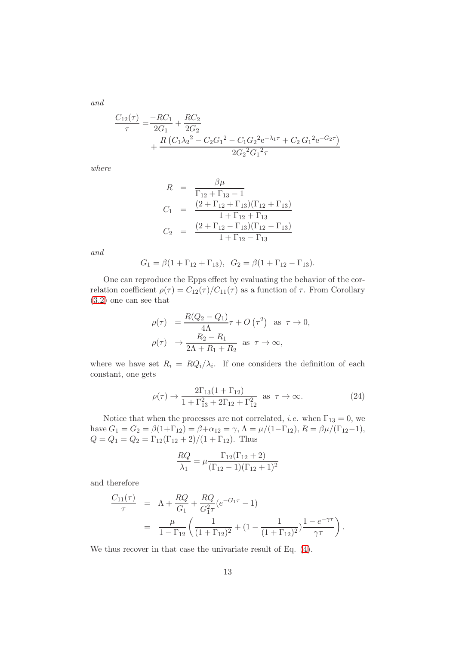*and*

$$
\frac{C_{12}(\tau)}{\tau} = \frac{-RC_1}{2G_1} + \frac{RC_2}{2G_2} + \frac{R(C_1\lambda_2^2 - C_2C_1^2 - C_1C_2^2e^{-\lambda_1\tau} + C_2C_1^2e^{-G_2\tau})}{2G_2^2C_1^2\tau}
$$

*where*

$$
R = \frac{\beta \mu}{\Gamma_{12} + \Gamma_{13} - 1}
$$
  
\n
$$
C_1 = \frac{(2 + \Gamma_{12} + \Gamma_{13})(\Gamma_{12} + \Gamma_{13})}{1 + \Gamma_{12} + \Gamma_{13}}
$$
  
\n
$$
C_2 = \frac{(2 + \Gamma_{12} - \Gamma_{13})(\Gamma_{12} - \Gamma_{13})}{1 + \Gamma_{12} - \Gamma_{13}}
$$

*and*

$$
G_1 = \beta(1 + \Gamma_{12} + \Gamma_{13}), \quad G_2 = \beta(1 + \Gamma_{12} - \Gamma_{13}).
$$

One can reproduce the Epps effect by evaluating the behavior of the correlation coefficient  $\rho(\tau) = C_{12}(\tau)/C_{11}(\tau)$  as a function of  $\tau$ . From Corollary [\(3.2\)](#page-11-0) one can see that

$$
\rho(\tau) = \frac{R(Q_2 - Q_1)}{4\Lambda}\tau + O(\tau^2) \text{ as } \tau \to 0,
$$
  

$$
\rho(\tau) \to \frac{R_2 - R_1}{2\Lambda + R_1 + R_2} \text{ as } \tau \to \infty,
$$

where we have set  $R_i = RQ_i/\lambda_i$ . If one considers the definition of each constant, one gets

<span id="page-12-0"></span>
$$
\rho(\tau) \to \frac{2\Gamma_{13}(1 + \Gamma_{12})}{1 + \Gamma_{13}^2 + 2\Gamma_{12} + \Gamma_{12}^2} \text{ as } \tau \to \infty.
$$
 (24)

Notice that when the processes are not correlated, *i.e.* when  $\Gamma_{13} = 0$ , we have  $G_1 = G_2 = \beta(1+\Gamma_{12}) = \beta+\alpha_{12} = \gamma$ ,  $\Lambda = \mu/(1-\Gamma_{12})$ ,  $R = \beta\mu/(\Gamma_{12}-1)$ ,  $Q = Q_1 = Q_2 = \Gamma_{12}(\Gamma_{12} + 2)/(1 + \Gamma_{12})$ . Thus

$$
\frac{RQ}{\lambda_1} = \mu \frac{\Gamma_{12}(\Gamma_{12} + 2)}{(\Gamma_{12} - 1)(\Gamma_{12} + 1)^2}
$$

and therefore

$$
\frac{C_{11}(\tau)}{\tau} = \Lambda + \frac{RQ}{G_1} + \frac{RQ}{G_1^2 \tau} (e^{-G_1 \tau} - 1)
$$
  
= 
$$
\frac{\mu}{1 - \Gamma_{12}} \left( \frac{1}{(1 + \Gamma_{12})^2} + (1 - \frac{1}{(1 + \Gamma_{12})^2}) \frac{1 - e^{-\gamma \tau}}{\gamma \tau} \right).
$$

We thus recover in that case the univariate result of Eq. [\(4\)](#page-16-1).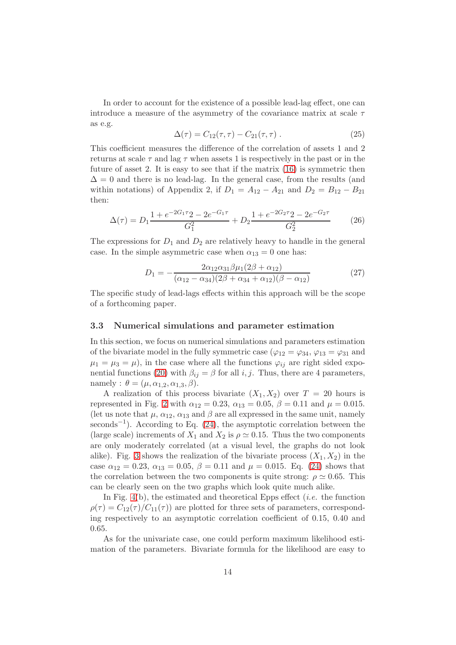In order to account for the existence of a possible lead-lag effect, one can introduce a measure of the asymmetry of the covariance matrix at scale  $\tau$ as e.g.

$$
\Delta(\tau) = C_{12}(\tau, \tau) - C_{21}(\tau, \tau) \tag{25}
$$

This coefficient measures the difference of the correlation of assets 1 and 2 returns at scale  $\tau$  and lag  $\tau$  when assets 1 is respectively in the past or in the future of asset 2. It is easy to see that if the matrix [\(16\)](#page-10-1) is symmetric then  $\Delta = 0$  and there is no lead-lag. In the general case, from the results (and within notations) of Appendix 2, if  $D_1 = A_{12} - A_{21}$  and  $D_2 = B_{12} - B_{21}$ then:

$$
\Delta(\tau) = D_1 \frac{1 + e^{-2G_1 \tau} 2 - 2e^{-G_1 \tau}}{G_1^2} + D_2 \frac{1 + e^{-2G_2 \tau} 2 - 2e^{-G_2 \tau}}{G_2^2}
$$
(26)

The expressions for  $D_1$  and  $D_2$  are relatively heavy to handle in the general case. In the simple asymmetric case when  $\alpha_{13} = 0$  one has:

$$
D_1 = -\frac{2\alpha_{12}\alpha_{31}\beta\mu_1(2\beta + \alpha_{12})}{(\alpha_{12} - \alpha_{34})(2\beta + \alpha_{34} + \alpha_{12})(\beta - \alpha_{12})}
$$
(27)

The specific study of lead-lags effects within this approach will be the scope of a forthcoming paper.

### 3.3 Numerical simulations and parameter estimation

In this section, we focus on numerical simulations and parameters estimation of the bivariate model in the fully symmetric case ( $\varphi_{12} = \varphi_{34}, \varphi_{13} = \varphi_{31}$  and  $\mu_1 = \mu_3 = \mu$ , in the case where all the functions  $\varphi_{ij}$  are right sided expo-nential functions [\(20\)](#page-10-3) with  $\beta_{ij} = \beta$  for all *i*, *j*. Thus, there are 4 parameters, namely :  $\theta = (\mu, \alpha_{1,2}, \alpha_{1,3}, \beta)$ .

A realization of this process bivariate  $(X_1, X_2)$  over  $T = 20$  hours is represented in Fig. [2](#page-14-0) with  $\alpha_{12} = 0.23$ ,  $\alpha_{13} = 0.05$ ,  $\beta = 0.11$  and  $\mu = 0.015$ . (let us note that  $\mu$ ,  $\alpha_{12}$ ,  $\alpha_{13}$  and  $\beta$  are all expressed in the same unit, namely seconds<sup>-1</sup>). According to Eq. [\(24\)](#page-12-0), the asymptotic correlation between the (large scale) increments of  $X_1$  and  $X_2$  is  $\rho \simeq 0.15$ . Thus the two components are only moderately correlated (at a visual level, the graphs do not look alike). Fig. [3](#page-15-0) shows the realization of the bivariate process  $(X_1, X_2)$  in the case  $\alpha_{12} = 0.23$ ,  $\alpha_{13} = 0.05$ ,  $\beta = 0.11$  and  $\mu = 0.015$ . Eq. [\(24\)](#page-12-0) shows that the correlation between the two components is quite strong:  $\rho \simeq 0.65$ . This can be clearly seen on the two graphs which look quite much alike.

In Fig. [4\(](#page-16-1)b), the estimated and theoretical Epps effect (*i.e.* the function  $\rho(\tau) = C_{12}(\tau)/C_{11}(\tau)$  are plotted for three sets of parameters, corresponding respectively to an asymptotic correlation coefficient of 0.15, 0.40 and 0.65.

As for the univariate case, one could perform maximum likelihood estimation of the parameters. Bivariate formula for the likelihood are easy to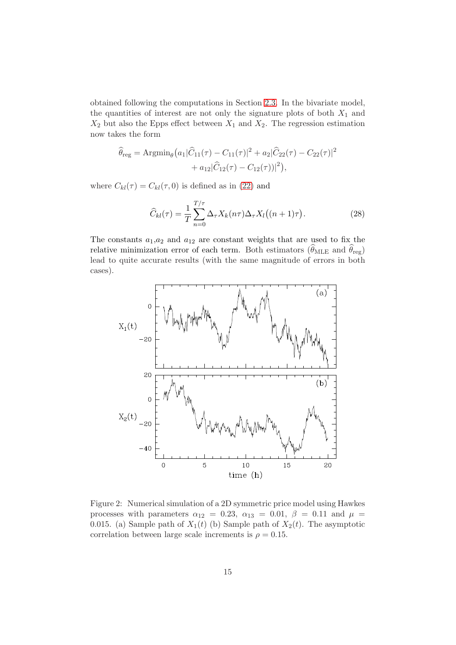obtained following the computations in Section [2.3.](#page-6-1) In the bivariate model, the quantities of interest are not only the signature plots of both  $X_1$  and  $X_2$  but also the Epps effect between  $X_1$  and  $X_2$ . The regression estimation now takes the form

$$
\widehat{\theta}_{\text{reg}} = \text{Argmin}_{\theta} (a_1|\widehat{C}_{11}(\tau) - C_{11}(\tau)|^2 + a_2|\widehat{C}_{22}(\tau) - C_{22}(\tau)|^2 + a_{12}|\widehat{C}_{12}(\tau) - C_{12}(\tau))|^2),
$$

where  $C_{kl}(\tau) = C_{kl}(\tau, 0)$  is defined as in [\(22\)](#page-10-0) and

$$
\widehat{C}_{kl}(\tau) = \frac{1}{T} \sum_{n=0}^{T/\tau} \Delta_{\tau} X_k(n\tau) \Delta_{\tau} X_l((n+1)\tau).
$$
 (28)

The constants  $a_1,a_2$  and  $a_{12}$  are constant weights that are used to fix the relative minimization error of each term. Both estimators  $(\theta_{MLE} \text{ and } \theta_{reg})$ lead to quite accurate results (with the same magnitude of errors in both cases).



<span id="page-14-0"></span>Figure 2: Numerical simulation of a 2D symmetric price model using Hawkes processes with parameters  $\alpha_{12} = 0.23$ ,  $\alpha_{13} = 0.01$ ,  $\beta = 0.11$  and  $\mu =$ 0.015. (a) Sample path of  $X_1(t)$  (b) Sample path of  $X_2(t)$ . The asymptotic correlation between large scale increments is  $\rho = 0.15$ .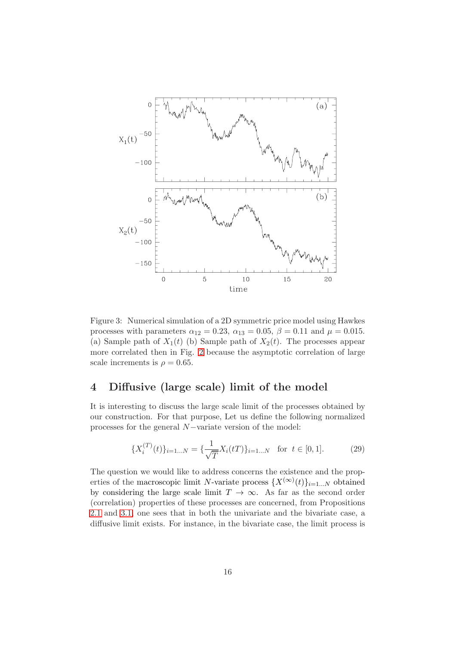

<span id="page-15-0"></span>Figure 3: Numerical simulation of a 2D symmetric price model using Hawkes processes with parameters  $\alpha_{12} = 0.23$ ,  $\alpha_{13} = 0.05$ ,  $\beta = 0.11$  and  $\mu = 0.015$ . (a) Sample path of  $X_1(t)$  (b) Sample path of  $X_2(t)$ . The processes appear more correlated then in Fig. [2](#page-14-0) because the asymptotic correlation of large scale increments is  $\rho = 0.65$ .

# 4 Diffusive (large scale) limit of the model

It is interesting to discuss the large scale limit of the processes obtained by our construction. For that purpose, Let us define the following normalized processes for the general N−variate version of the model:

$$
\{X_i^{(T)}(t)\}_{i=1...N} = \{\frac{1}{\sqrt{T}}X_i(tT)\}_{i=1...N} \text{ for } t \in [0,1].
$$
 (29)

The question we would like to address concerns the existence and the properties of the macroscopic limit N-variate process  $\{X^{(\infty)}(t)\}_{i=1...N}$  obtained by considering the large scale limit  $T \to \infty$ . As far as the second order (correlation) properties of these processes are concerned, from Propositions [2.1](#page-6-2) and [3.1,](#page-11-1) one sees that in both the univariate and the bivariate case, a diffusive limit exists. For instance, in the bivariate case, the limit process is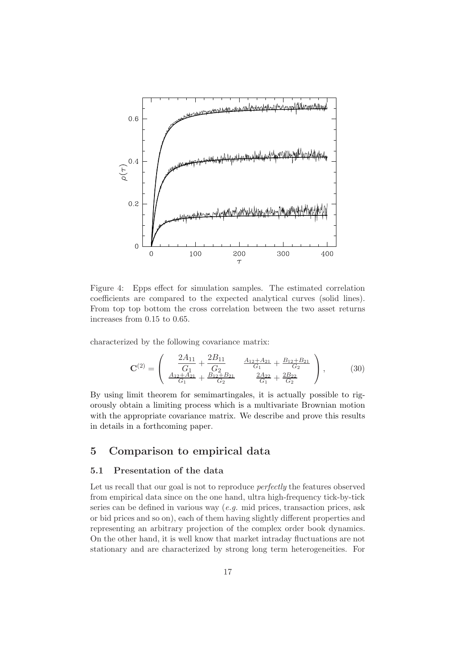

<span id="page-16-1"></span>Figure 4: Epps effect for simulation samples. The estimated correlation coefficients are compared to the expected analytical curves (solid lines). From top top bottom the cross correlation between the two asset returns increases from 0.15 to 0.65.

characterized by the following covariance matrix:

$$
\mathbf{C}^{(2)} = \begin{pmatrix} \frac{2A_{11}}{G_1} + \frac{2B_{11}}{G_2} & \frac{A_{12} + A_{21}}{G_1} + \frac{B_{12} + B_{21}}{G_2} \\ \frac{A_{12} + A_{21}}{G_1} + \frac{B_{12} + B_{21}}{G_2} & \frac{2A_{22}}{G_1} + \frac{2B_{22}}{G_2} \end{pmatrix},
$$
(30)

By using limit theorem for semimartingales, it is actually possible to rigorously obtain a limiting process which is a multivariate Brownian motion with the appropriate covariance matrix. We describe and prove this results in details in a forthcoming paper.

# <span id="page-16-0"></span>5 Comparison to empirical data

### <span id="page-16-2"></span>5.1 Presentation of the data

Let us recall that our goal is not to reproduce *perfectly* the features observed from empirical data since on the one hand, ultra high-frequency tick-by-tick series can be defined in various way (*e.g.* mid prices, transaction prices, ask or bid prices and so on), each of them having slightly different properties and representing an arbitrary projection of the complex order book dynamics. On the other hand, it is well know that market intraday fluctuations are not stationary and are characterized by strong long term heterogeneities. For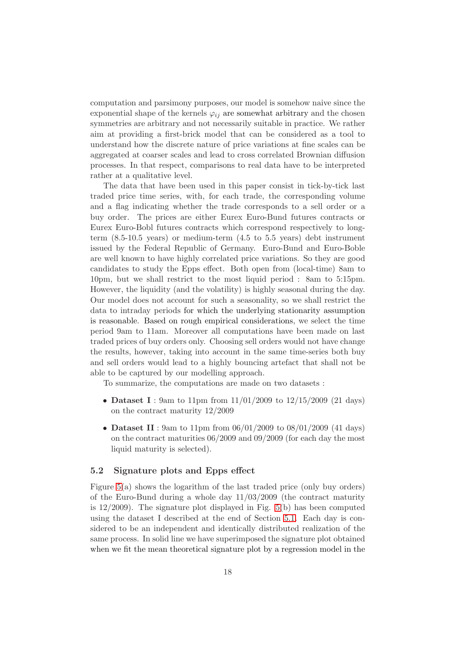computation and parsimony purposes, our model is somehow naive since the exponential shape of the kernels  $\varphi_{ij}$  are somewhat arbitrary and the chosen symmetries are arbitrary and not necessarily suitable in practice. We rather aim at providing a first-brick model that can be considered as a tool to understand how the discrete nature of price variations at fine scales can be aggregated at coarser scales and lead to cross correlated Brownian diffusion processes. In that respect, comparisons to real data have to be interpreted rather at a qualitative level.

The data that have been used in this paper consist in tick-by-tick last traded price time series, with, for each trade, the corresponding volume and a flag indicating whether the trade corresponds to a sell order or a buy order. The prices are either Eurex Euro-Bund futures contracts or Eurex Euro-Bobl futures contracts which correspond respectively to longterm (8.5-10.5 years) or medium-term (4.5 to 5.5 years) debt instrument issued by the Federal Republic of Germany. Euro-Bund and Euro-Boble are well known to have highly correlated price variations. So they are good candidates to study the Epps effect. Both open from (local-time) 8am to 10pm, but we shall restrict to the most liquid period : 8am to 5:15pm. However, the liquidity (and the volatility) is highly seasonal during the day. Our model does not account for such a seasonality, so we shall restrict the data to intraday periods for which the underlying stationarity assumption is reasonable. Based on rough empirical considerations, we select the time period 9am to 11am. Moreover all computations have been made on last traded prices of buy orders only. Choosing sell orders would not have change the results, however, taking into account in the same time-series both buy and sell orders would lead to a highly bouncing artefact that shall not be able to be captured by our modelling approach.

To summarize, the computations are made on two datasets :

- Dataset I: 9am to 11pm from  $11/01/2009$  to  $12/15/2009$  (21 days) on the contract maturity 12/2009
- Dataset II : 9am to 11pm from  $06/01/2009$  to  $08/01/2009$  (41 days) on the contract maturities 06/2009 and 09/2009 (for each day the most liquid maturity is selected).

### <span id="page-17-0"></span>5.2 Signature plots and Epps effect

Figure [5\(](#page-19-0)a) shows the logarithm of the last traded price (only buy orders) of the Euro-Bund during a whole day 11/03/2009 (the contract maturity is 12/2009). The signature plot displayed in Fig. [5\(](#page-19-0)b) has been computed using the dataset I described at the end of Section [5.1.](#page-16-2) Each day is considered to be an independent and identically distributed realization of the same process. In solid line we have superimposed the signature plot obtained when we fit the mean theoretical signature plot by a regression model in the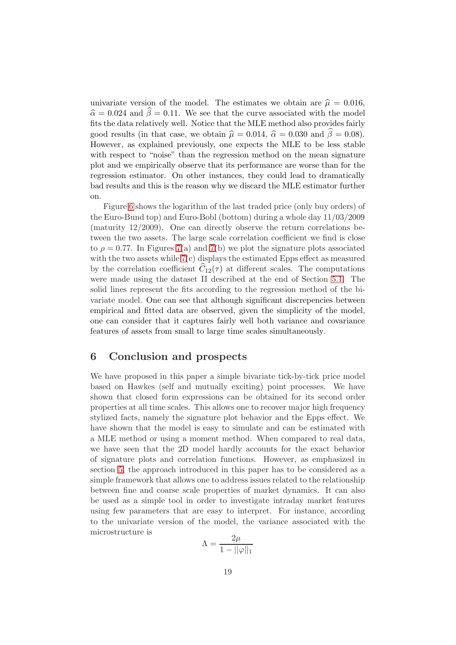univariate version of the model. The estimates we obtain are  $\hat{\mu} = 0.016$ ,  $\hat{\alpha} = 0.024$  and  $\hat{\beta} = 0.11$ . We see that the curve associated with the model fits the data relatively well. Notice that the MLE method also provides fairly good results (in that case, we obtain  $\hat{\mu} = 0.014$ ,  $\hat{\alpha} = 0.030$  and  $\hat{\beta} = 0.08$ ). However, as explained previously, one expects the MLE to be less stable with respect to "noise" than the regression method on the mean signature plot and we empirically observe that its performance are worse than for the regression estimator. On other instances, they could lead to dramatically bad results and this is the reason why we discard the MLE estimator further on.

Figure [6](#page-20-0) shows the logarithm of the last traded price (only buy orders) of the Euro-Bund top) and Euro-Bobl (bottom) during a whole day 11/03/2009 (maturity 12/2009). One can directly observe the return correlations between the two assets. The large scale correlation coefficient we find is close to  $\rho = 0.77$ . In Figures [7\(](#page-21-0)a) and 7(b) we plot the signature plots associated with the two assets while  $7(c)$  displays the estimated Epps effect as measured by the correlation coefficient  $C_{12}(\tau)$  at different scales. The computations were made using the dataset II described at the end of Section [5.1.](#page-16-2) The solid lines represent the fits according to the regression method of the bivariate model. One can see that although significant discrepencies between empirical and fitted data are observed, given the simplicity of the model, one can consider that it captures fairly well both variance and covariance features of assets from small to large time scales simultaneously.

# <span id="page-18-0"></span>6 Conclusion and prospects

We have proposed in this paper a simple bivariate tick-by-tick price model based on Hawkes (self and mutually exciting) point processes. We have shown that closed form expressions can be obtained for its second order properties at all time scales. This allows one to recover major high frequency stylized facts, namely the signature plot behavior and the Epps effect. We have shown that the model is easy to simulate and can be estimated with a MLE method or using a moment method. When compared to real data, we have seen that the 2D model hardly accounts for the exact behavior of signature plots and correlation functions. However, as emphasized in section [5,](#page-16-0) the approach introduced in this paper has to be considered as a simple framework that allows one to address issues related to the relationship between fine and coarse scale properties of market dynamics. It can also be used as a simple tool in order to investigate intraday market features using few parameters that are easy to interpret. For instance, according to the univariate version of the model, the variance associated with the microstructure is

$$
\Lambda = \frac{2\mu}{1 - ||\varphi||_1}
$$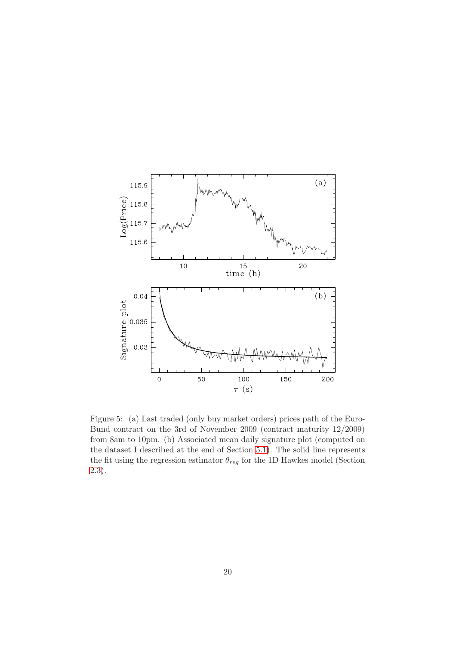

<span id="page-19-0"></span>Figure 5: (a) Last traded (only buy market orders) prices path of the Euro-Bund contract on the 3rd of November 2009 (contract maturity 12/2009) from 8am to 10pm. (b) Associated mean daily signature plot (computed on the dataset I described at the end of Section [5.1\)](#page-16-2). The solid line represents the fit using the regression estimator  $\theta_{reg}$  for the 1D Hawkes model (Section [2.3\)](#page-6-1).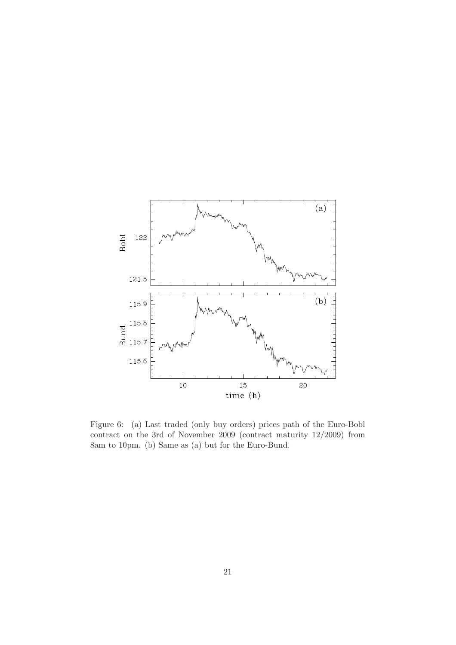

<span id="page-20-0"></span>Figure 6: (a) Last traded (only buy orders) prices path of the Euro-Bobl contract on the 3rd of November 2009 (contract maturity 12/2009) from 8am to 10pm. (b) Same as (a) but for the Euro-Bund.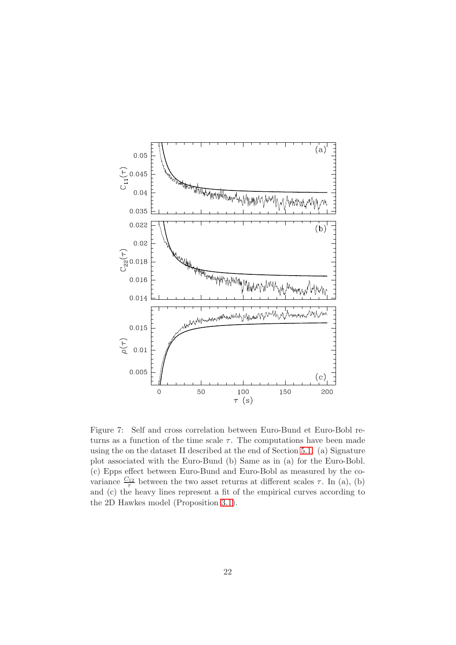

<span id="page-21-0"></span>Figure 7: Self and cross correlation between Euro-Bund et Euro-Bobl returns as a function of the time scale  $\tau$ . The computations have been made using the on the dataset II described at the end of Section [5.1.](#page-16-2) (a) Signature plot associated with the Euro-Bund (b) Same as in (a) for the Euro-Bobl. (c) Epps effect between Euro-Bund and Euro-Bobl as measured by the covariance  $\frac{C_{12}}{\tau}$  between the two asset returns at different scales  $\tau$ . In (a), (b) and (c) the heavy lines represent a fit of the empirical curves according to the 2D Hawkes model (Proposition [3.1\)](#page-11-1).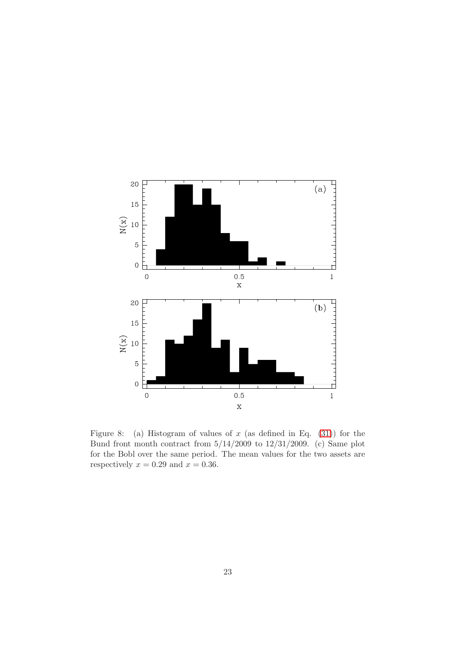

<span id="page-22-0"></span>Figure 8: (a) Histogram of values of x (as defined in Eq.  $(31)$ ) for the Bund front month contract from  $5/14/2009$  to  $12/31/2009$ . (c) Same plot for the Bobl over the same period. The mean values for the two assets are respectively  $x = 0.29$  and  $x = 0.36$ .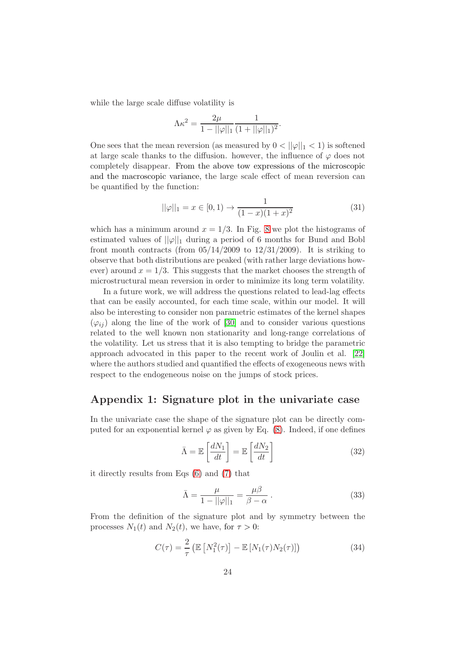while the large scale diffuse volatility is

$$
\Lambda \kappa^2 = \frac{2\mu}{1 - ||\varphi||_1} \frac{1}{(1 + ||\varphi||_1)^2}.
$$

One sees that the mean reversion (as measured by  $0 < ||\varphi||_1 < 1$ ) is softened at large scale thanks to the diffusion. however, the influence of  $\varphi$  does not completely disappear. From the above tow expressions of the microscopic and the macroscopic variance, the large scale effect of mean reversion can be quantified by the function:

<span id="page-23-0"></span>
$$
||\varphi||_1 = x \in [0, 1) \to \frac{1}{(1-x)(1+x)^2} \tag{31}
$$

which has a minimum around  $x = 1/3$ . In Fig. [8](#page-22-0) we plot the histograms of estimated values of  $||\varphi||_1$  during a period of 6 months for Bund and Bobl front month contracts (from  $05/14/2009$  to  $12/31/2009$ ). It is striking to observe that both distributions are peaked (with rather large deviations however) around  $x = 1/3$ . This suggests that the market chooses the strength of microstructural mean reversion in order to minimize its long term volatility.

In a future work, we will address the questions related to lead-lag effects that can be easily accounted, for each time scale, within our model. It will also be interesting to consider non parametric estimates of the kernel shapes  $(\varphi_{ii})$  along the line of the work of [\[30\]](#page-30-11) and to consider various questions related to the well known non stationarity and long-range correlations of the volatility. Let us stress that it is also tempting to bridge the parametric approach advocated in this paper to the recent work of Joulin et al. [\[22\]](#page-29-13) where the authors studied and quantified the effects of exogeneous news with respect to the endogeneous noise on the jumps of stock prices.

# Appendix 1: Signature plot in the univariate case

In the univariate case the shape of the signature plot can be directly computed for an exponential kernel  $\varphi$  as given by Eq. [\(8\)](#page-5-2). Indeed, if one defines

$$
\bar{\Lambda} = \mathbb{E}\left[\frac{dN_1}{dt}\right] = \mathbb{E}\left[\frac{dN_2}{dt}\right]
$$
\n(32)

it directly results from Eqs [\(6\)](#page-5-0) and [\(7\)](#page-5-0) that

$$
\bar{\Lambda} = \frac{\mu}{1 - ||\varphi||_1} = \frac{\mu \beta}{\beta - \alpha} \,. \tag{33}
$$

From the definition of the signature plot and by symmetry between the processes  $N_1(t)$  and  $N_2(t)$ , we have, for  $\tau > 0$ :

$$
C(\tau) = \frac{2}{\tau} \left( \mathbb{E} \left[ N_1^2(\tau) \right] - \mathbb{E} \left[ N_1(\tau) N_2(\tau) \right] \right) \tag{34}
$$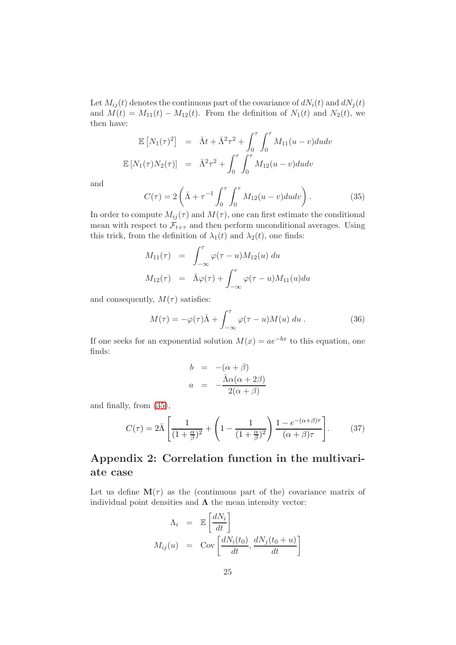Let  $M_{ij}(t)$  denotes the continuous part of the covariance of  $dN_i(t)$  and  $dN_j(t)$ and  $M(t) = M_{11}(t) - M_{12}(t)$ . From the definition of  $N_1(t)$  and  $N_2(t)$ , we then have:

$$
\mathbb{E}\left[N_1(\tau)^2\right] = \bar{\Lambda}t + \bar{\Lambda}^2\tau^2 + \int_0^{\tau} \int_0^{\tau} M_{11}(u-v)dudv
$$

$$
\mathbb{E}\left[N_1(\tau)N_2(\tau)\right] = \bar{\Lambda}^2\tau^2 + \int_0^{\tau} \int_0^{\tau} M_{12}(u-v)dudv
$$

and

<span id="page-24-0"></span>
$$
C(\tau) = 2\left(\bar{\Lambda} + \tau^{-1} \int_0^{\tau} \int_0^{\tau} M_{12}(u - v) du dv\right).
$$
 (35)

In order to compute  $M_{ij}(\tau)$  and  $M(\tau)$ , one can first estimate the conditional mean with respect to  $\mathcal{F}_{t+\tau}$  and then perform unconditional averages. Using this trick, from the definition of  $\lambda_1(t)$  and  $\lambda_2(t)$ , one finds:

$$
M_{11}(\tau) = \int_{-\infty}^{\tau} \varphi(\tau - u) M_{12}(u) du
$$
  

$$
M_{12}(\tau) = \bar{\Lambda} \varphi(\tau) + \int_{-\infty}^{\tau} \varphi(\tau - u) M_{11}(u) du
$$

and consequently,  $M(\tau)$  satisfies:

$$
M(\tau) = -\varphi(\tau)\bar{\Lambda} + \int_{-\infty}^{\tau} \varphi(\tau - u)M(u) \, du \,. \tag{36}
$$

If one seeks for an exponential solution  $M(x) = ae^{-bx}$  to this equation, one finds:

$$
b = -(\alpha + \beta)
$$
  

$$
a = -\frac{\bar{\Lambda}\alpha(\alpha + 2\beta)}{2(\alpha + \beta)}
$$

and finally, from [\(35\)](#page-24-0),

$$
C(\tau) = 2\bar{\Lambda} \left[ \frac{1}{(1 + \frac{\alpha}{\beta})^2} + \left( 1 - \frac{1}{(1 + \frac{\alpha}{\beta})^2} \right) \frac{1 - e^{-(\alpha + \beta)\tau}}{(\alpha + \beta)\tau} \right].
$$
 (37)

# Appendix 2: Correlation function in the multivariate case

Let us define  $\mathbf{M}(\tau)$  as the (continuous part of the) covariance matrix of individual point densities and  $\Lambda$  the mean intensity vector:

$$
\Lambda_i = \mathbb{E}\left[\frac{dN_i}{dt}\right]
$$
  

$$
M_{ij}(u) = \text{Cov}\left[\frac{dN_i(t_0)}{dt}, \frac{dN_j(t_0+u)}{dt}\right]
$$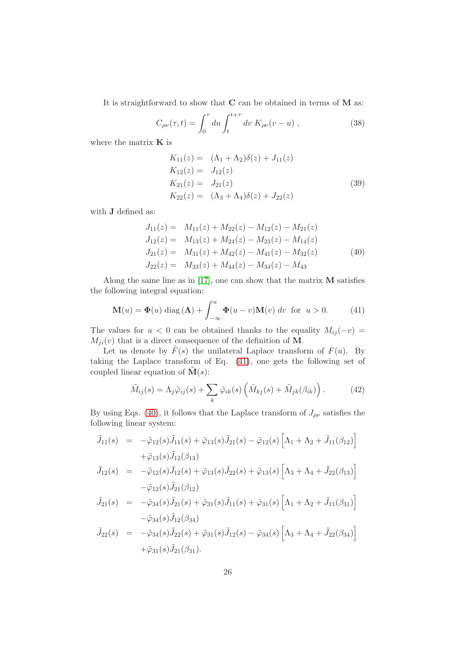It is straightforward to show that  $C$  can be obtained in terms of  $M$  as:

<span id="page-25-3"></span>
$$
C_{\rho\nu}(\tau, t) = \int_0^{\tau} du \int_t^{t+\tau} dv \, K_{\rho\nu}(v - u) , \qquad (38)
$$

where the matrix  $\bf{K}$  is

<span id="page-25-2"></span>
$$
K_{11}(z) = (\Lambda_1 + \Lambda_2)\delta(z) + J_{11}(z)
$$
  
\n
$$
K_{12}(z) = J_{12}(z)
$$
  
\n
$$
K_{21}(z) = J_{21}(z)
$$
  
\n
$$
K_{22}(z) = (\Lambda_3 + \Lambda_4)\delta(z) + J_{22}(z)
$$
\n(39)

with **J** defined as:

<span id="page-25-1"></span>
$$
J_{11}(z) = M_{11}(z) + M_{22}(z) - M_{12}(z) - M_{21}(z)
$$
  
\n
$$
J_{12}(z) = M_{13}(z) + M_{24}(z) - M_{23}(z) - M_{14}(z)
$$
  
\n
$$
J_{21}(z) = M_{31}(z) + M_{42}(z) - M_{41}(z) - M_{32}(z)
$$
  
\n
$$
J_{22}(z) = M_{33}(z) + M_{44}(z) - M_{34}(z) - M_{43}
$$
\n(40)

Along the same line as in  $[17]$ , one can show that the matrix **M** satisfies the following integral equation:

<span id="page-25-0"></span>
$$
\mathbf{M}(u) = \mathbf{\Phi}(u) \operatorname{diag}(\mathbf{\Lambda}) + \int_{-\infty}^{u} \mathbf{\Phi}(u-v) \mathbf{M}(v) dv \text{ for } u > 0.
$$
 (41)

The values for  $u < 0$  can be obtained thanks to the equality  $M_{ij}(-v) =$  $M_{ji}(v)$  that is a direct consequence of the definition of **M**.

Let us denote by  $\tilde{F}(s)$  the unilateral Laplace transform of  $F(u)$ . By taking the Laplace transform of Eq. [\(41\)](#page-25-0), one gets the following set of coupled linear equation of  $\tilde{M}(s)$ :

$$
\tilde{M}_{ij}(s) = \Lambda_j \tilde{\varphi}_{ij}(s) + \sum_k \tilde{\varphi}_{ik}(s) \left( \tilde{M}_{kj}(s) + \tilde{M}_{jk}(\beta_{ik}) \right). \tag{42}
$$

By using Eqs. [\(40\)](#page-25-1), it follows that the Laplace transform of  $J_{\rho\nu}$  satisfies the following linear system:

$$
\tilde{J}_{11}(s) = -\tilde{\varphi}_{12}(s)\tilde{J}_{11}(s) + \tilde{\varphi}_{13}(s)\tilde{J}_{21}(s) - \tilde{\varphi}_{12}(s) \left[\Lambda_1 + \Lambda_2 + \tilde{J}_{11}(\beta_{12})\right] \n+ \tilde{\varphi}_{13}(s)\tilde{J}_{12}(\beta_{13}) \n\tilde{J}_{12}(s) = -\tilde{\varphi}_{12}(s)\tilde{J}_{12}(s) + \tilde{\varphi}_{13}(s)\tilde{J}_{22}(s) + \tilde{\varphi}_{13}(s) \left[\Lambda_3 + \Lambda_4 + \tilde{J}_{22}(\beta_{13})\right] \n- \tilde{\varphi}_{12}(s)\tilde{J}_{21}(\beta_{12}) \n\tilde{J}_{21}(s) = -\tilde{\varphi}_{34}(s)\tilde{J}_{21}(s) + \tilde{\varphi}_{31}(s)\tilde{J}_{11}(s) + \tilde{\varphi}_{31}(s) \left[\Lambda_1 + \Lambda_2 + \tilde{J}_{11}(\beta_{31})\right] \n- \tilde{\varphi}_{34}(s)\tilde{J}_{12}(\beta_{34}) \n\tilde{J}_{22}(s) = -\tilde{\varphi}_{34}(s)\tilde{J}_{22}(s) + \tilde{\varphi}_{31}(s)\tilde{J}_{12}(s) - \tilde{\varphi}_{34}(s) \left[\Lambda_3 + \Lambda_4 + \tilde{J}_{22}(\beta_{34})\right] \n+ \tilde{\varphi}_{31}(s)\tilde{J}_{21}(\beta_{31}).
$$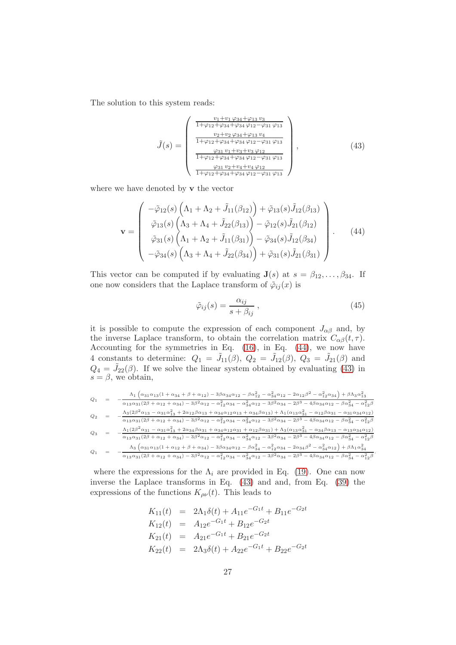The solution to this system reads:

<span id="page-26-1"></span>
$$
\tilde{J}(s) = \begin{pmatrix} \frac{v_1 + v_1 \varphi_{34} + \varphi_{13} v_3}{1 + \varphi_{12} + \varphi_{34} + \varphi_{34} \varphi_{12} - \varphi_{31} \varphi_{13}} \\ \frac{v_2 + v_2 \varphi_{34} + \varphi_{13} v_4}{1 + \varphi_{12} + \varphi_{34} + \varphi_{34} \varphi_{12} - \varphi_{31} \varphi_{13}} \\ \frac{\varphi_{31} v_1 + v_3 + v_3 \varphi_{12}}{1 + \varphi_{12} + \varphi_{34} + \varphi_{34} \varphi_{12} - \varphi_{31} \varphi_{13}} \\ \frac{\varphi_{31} v_2 + v_4 + v_4 \varphi_{12}}{1 + \varphi_{12} + \varphi_{34} + \varphi_{34} \varphi_{12} - \varphi_{31} \varphi_{13}} \end{pmatrix},
$$
\n(43)

where we have denoted by v the vector

<span id="page-26-0"></span>
$$
\mathbf{v} = \begin{pmatrix} -\tilde{\varphi}_{12}(s) \left( \Lambda_1 + \Lambda_2 + \tilde{J}_{11}(\beta_{12}) \right) + \tilde{\varphi}_{13}(s) \tilde{J}_{12}(\beta_{13}) \\ \tilde{\varphi}_{13}(s) \left( \Lambda_3 + \Lambda_4 + \tilde{J}_{22}(\beta_{13}) \right) - \tilde{\varphi}_{12}(s) \tilde{J}_{21}(\beta_{12}) \\ \tilde{\varphi}_{31}(s) \left( \Lambda_1 + \Lambda_2 + \tilde{J}_{11}(\beta_{31}) \right) - \tilde{\varphi}_{34}(s) \tilde{J}_{12}(\beta_{34}) \\ -\tilde{\varphi}_{34}(s) \left( \Lambda_3 + \Lambda_4 + \tilde{J}_{22}(\beta_{34}) \right) + \tilde{\varphi}_{31}(s) \tilde{J}_{21}(\beta_{31}) \end{pmatrix} . \tag{44}
$$

This vector can be computed if by evaluating  $J(s)$  at  $s = \beta_{12}, \ldots, \beta_{34}$ . If one now considers that the Laplace transform of  $\tilde{\varphi}_{ij}(x)$  is

$$
\tilde{\varphi}_{ij}(s) = \frac{\alpha_{ij}}{s + \beta_{ij}} \,, \tag{45}
$$

.

it is possible to compute the expression of each component  $J_{\alpha\beta}$  and, by the inverse Laplace transform, to obtain the correlation matrix  $C_{\alpha\beta}(t, \tau)$ . Accounting for the symmetries in Eq.  $(16)$ , in Eq.  $(44)$ , we now have 4 constants to determine:  $Q_1 = \tilde{J}_{11}(\beta)$ ,  $Q_2 = \tilde{J}_{12}(\beta)$ ,  $Q_3 = \tilde{J}_{21}(\beta)$  and  $Q_4 = \tilde{J}_{22}(\beta)$ . If we solve the linear system obtained by evaluating [\(43\)](#page-26-1) in  $s = \beta$ , we obtain,

| $Q_1$   |  | $\Lambda_1 \left(\alpha_{31}\alpha_{13}(1+\alpha_{34}+\beta+\alpha_{12})-3\beta \alpha_{34}\alpha_{12}-\beta \alpha_{12}^2-\alpha_{34}^2 \alpha_{12}-2\alpha_{12}\beta^2-\alpha_{12}^2 \alpha_{34}\right)+\beta \Lambda_3 \alpha_{13}^2$                                                                                                                                                                                  |
|---------|--|---------------------------------------------------------------------------------------------------------------------------------------------------------------------------------------------------------------------------------------------------------------------------------------------------------------------------------------------------------------------------------------------------------------------------|
|         |  | $\alpha_{13}\alpha_{31}(2\beta+\alpha_{12}+\alpha_{34})-3\beta^2\alpha_{12}-\alpha_{12}^2\alpha_{34}-\alpha_{34}^2\alpha_{12}-3\beta^2\alpha_{34}-2\beta^3-4\beta\alpha_{34}\alpha_{12}-\beta\alpha_{34}^2-\alpha_{12}^2\beta$                                                                                                                                                                                            |
| $Q_2 =$ |  | $\Lambda_3(2\beta^2\alpha_{13}-\alpha_{31}\alpha_{13}^2+2\alpha_{12}\beta\alpha_{13}+\alpha_{34}\alpha_{12}\alpha_{13}+\alpha_{34}\beta\alpha_{13}) +\Lambda_1(\alpha_{13}\alpha_{31}^2-\alpha_{12}\beta\alpha_{31}-\alpha_{31}\alpha_{34}\alpha_{12})$                                                                                                                                                                   |
|         |  | $\overline{\alpha_{13}\alpha_{31}(2\beta+\alpha_{12}+\alpha_{34})-3\beta^2\alpha_{12}-\alpha_{12}^2\alpha_{34}-\alpha_{34}^2\alpha_{12}-3\beta^2\alpha_{34}-2\beta^3-4\beta\alpha_{34}\alpha_{12}-\beta\alpha_{34}^2-\alpha_{12}^2\beta^2\alpha_{34}-\alpha_{12}^2\beta^2\alpha_{34}-\alpha_{12}^2\beta^2\alpha_{34}-\alpha_{12}^2\beta^2\alpha_{34}-\beta_{12}^2\beta^2\alpha_{34}-\beta_{12}^2\beta^2\alpha_{34}-\beta$ |
| $Q_3 =$ |  | $\Lambda_1(2\beta^2\alpha_{31}-\alpha_{31}\alpha_{13}^2+2\alpha_{34}\beta\alpha_{31}+\alpha_{34}\alpha_{12}\alpha_{31}+\alpha_{12}\beta\alpha_{31})+\Lambda_3(\alpha_{13}\alpha_{31}^2-\alpha_{34}\beta\alpha_{13}-\alpha_{13}\alpha_{34}\alpha_{12})$                                                                                                                                                                    |
|         |  | $\overline{\alpha_{13}\alpha_{31}(2\beta+\alpha_{12}+\alpha_{34})-3\beta^2\alpha_{12}-\alpha_{12}^2\alpha_{34}-\alpha_{34}^2\alpha_{12}-3\beta^2\alpha_{34}-2\beta^3-4\beta\alpha_{34}\alpha_{12}-\beta\alpha_{34}^2-\alpha_{12}^2\beta^2\alpha_{34}-\alpha_{12}^2\beta^2\alpha_{34}-\alpha_{12}^2\beta^2\alpha_{34}-\alpha_{12}^2\beta^2\alpha_{34}-\beta_{12}^2\beta^2\alpha_{34}-\beta_{12}^2\beta^2\alpha_{34}-\beta$ |
| $Q_1$   |  | $\Lambda_{3}\left(\alpha_{31}\alpha_{13}(1+\alpha_{12}+\beta+\alpha_{34})-3\beta\alpha_{34}\alpha_{12}-\beta\alpha_{34}^{2}-\alpha_{12}^{2}\alpha_{34}-2\alpha_{34}\beta^{2}-\alpha_{34}^{2}\alpha_{12}\right)+\beta\Lambda_{1}\alpha_{34}^{2}$                                                                                                                                                                           |
|         |  | $\overline{\alpha_{13}\alpha_{31}(2\beta+\alpha_{12}+\alpha_{34})-3\beta^2\alpha_{12}-\alpha_{12}^2\alpha_{34}-\alpha_{34}^2\alpha_{12}-3\beta^2\alpha_{34}-2\beta^3-4\beta\alpha_{34}\alpha_{12}-\beta\alpha_{34}^2-\alpha_{12}^2\beta^2}}$                                                                                                                                                                              |

where the expressions for the  $\Lambda_i$  are provided in Eq. [\(19\)](#page-10-2). One can now inverse the Laplace transforms in Eq. [\(43\)](#page-26-1) and and, from Eq. [\(39\)](#page-25-2) the expressions of the functions  $K_{\rho\nu}(t)$ . This leads to

$$
K_{11}(t) = 2\Lambda_1 \delta(t) + A_{11}e^{-G_1 t} + B_{11}e^{-G_2 t}
$$
  
\n
$$
K_{12}(t) = A_{12}e^{-G_1 t} + B_{12}e^{-G_2 t}
$$
  
\n
$$
K_{21}(t) = A_{21}e^{-G_1 t} + B_{21}e^{-G_2 t}
$$
  
\n
$$
K_{22}(t) = 2\Lambda_3 \delta(t) + A_{22}e^{-G_1 t} + B_{22}e^{-G_2 t}
$$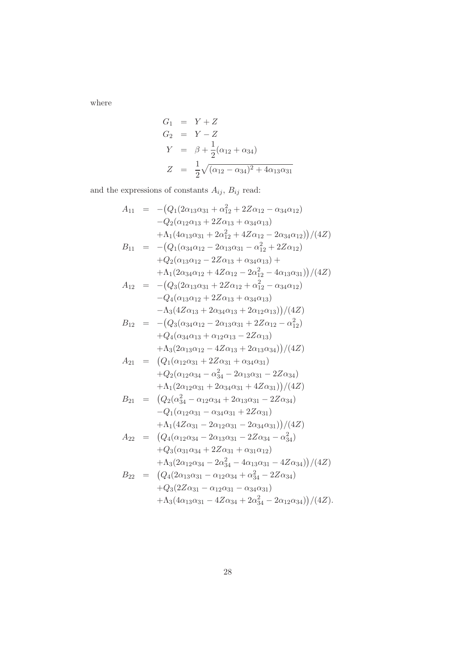where

$$
G_1 = Y + Z
$$
  
\n
$$
G_2 = Y - Z
$$
  
\n
$$
Y = \beta + \frac{1}{2}(\alpha_{12} + \alpha_{34})
$$
  
\n
$$
Z = \frac{1}{2}\sqrt{(\alpha_{12} - \alpha_{34})^2 + 4\alpha_{13}\alpha_{31}}
$$

and the expressions of constants  ${\cal A}_{ij},\,{\cal B}_{ij}$  read:

$$
A_{11} = -(Q_{1}(2\alpha_{13}\alpha_{31} + \alpha_{12}^{2} + 2Z\alpha_{12} - \alpha_{34}\alpha_{12})
$$
  
\n
$$
-Q_{2}(\alpha_{12}\alpha_{13} + 2Z\alpha_{13} + \alpha_{34}\alpha_{13})
$$
  
\n
$$
+ \Lambda_{1}(4\alpha_{13}\alpha_{31} + 2\alpha_{12}^{2} + 4Z\alpha_{12} - 2\alpha_{34}\alpha_{12}))/(4Z)
$$
  
\n
$$
B_{11} = -(Q_{1}(\alpha_{34}\alpha_{12} - 2\alpha_{13}\alpha_{31} - \alpha_{12}^{2} + 2Z\alpha_{12})
$$
  
\n
$$
+ Q_{2}(\alpha_{13}\alpha_{12} - 2\alpha_{13} + \alpha_{34}\alpha_{13}) +
$$
  
\n
$$
+ \Lambda_{1}(2\alpha_{34}\alpha_{12} + 4Z\alpha_{12} - 2\alpha_{12}^{2} - 4\alpha_{13}\alpha_{31}))/(4Z)
$$
  
\n
$$
A_{12} = -(Q_{3}(2\alpha_{13}\alpha_{31} + 2Z\alpha_{12} + \alpha_{12}^{2} - \alpha_{34}\alpha_{12})
$$
  
\n
$$
-Q_{4}(\alpha_{13}\alpha_{12} + 2Z\alpha_{13} + \alpha_{34}\alpha_{13})
$$
  
\n
$$
- \Lambda_{3}(4Z\alpha_{13} + 2\alpha_{34}\alpha_{13} + 2\alpha_{12}\alpha_{13}))/(4Z)
$$
  
\n
$$
B_{12} = -(Q_{3}(\alpha_{34}\alpha_{12} - 2\alpha_{13}\alpha_{31} + 2Z\alpha_{12} - \alpha_{12}^{2})
$$
  
\n
$$
+ Q_{4}(\alpha_{34}\alpha_{13} + \alpha_{12}\alpha_{13} - 2Z\alpha_{13})
$$
  
\n
$$
+ \Lambda_{3}(2\alpha_{13}\alpha_{12} - 4Z\alpha_{13} + 2\alpha_{13}\alpha_{34}))/(4Z)
$$
  
\n
$$
A_{21} = (Q_{1}(\alpha_{12}\alpha_{31} + 2Z\alpha_{31} + \
$$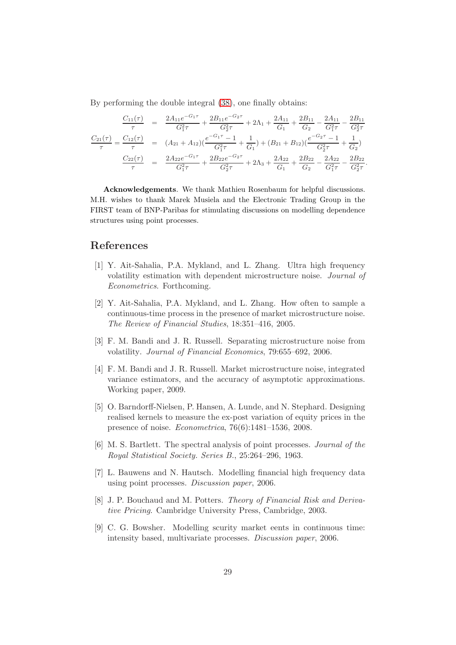By performing the double integral [\(38\)](#page-25-3), one finally obtains:

$$
\frac{C_{11}(\tau)}{\tau} = \frac{2A_{11}e^{-G_1\tau}}{G_1^2\tau} + \frac{2B_{11}e^{-G_2\tau}}{G_2^2\tau} + 2\Lambda_1 + \frac{2A_{11}}{G_1} + \frac{2B_{11}}{G_2} - \frac{2A_{11}}{G_1^2\tau} - \frac{2B_{11}}{G_2^2\tau}
$$
\n
$$
\frac{C_{21}(\tau)}{\tau} = \frac{C_{12}(\tau)}{\tau} = (A_{21} + A_{12})(\frac{e^{-G_1\tau} - 1}{G_1^2\tau} + \frac{1}{G_1}) + (B_{21} + B_{12})(\frac{e^{-G_2\tau} - 1}{G_2^2\tau} + \frac{1}{G_2})
$$
\n
$$
\frac{C_{22}(\tau)}{\tau} = \frac{2A_{22}e^{-G_1\tau}}{G_1^2\tau} + \frac{2B_{22}e^{-G_2\tau}}{G_2^2\tau} + 2\Lambda_3 + \frac{2A_{22}}{G_1} + \frac{2B_{22}}{G_2} - \frac{2A_{22}}{G_1^2\tau} - \frac{2B_{22}}{G_2^2\tau}.
$$

Acknowledgements. We thank Mathieu Rosenbaum for helpful discussions. M.H. wishes to thank Marek Musiela and the Electronic Trading Group in the FIRST team of BNP-Paribas for stimulating discussions on modelling dependence structures using point processes.

# <span id="page-28-2"></span>References

- [1] Y. Ait-Sahalia, P.A. Mykland, and L. Zhang. Ultra high frequency volatility estimation with dependent microstructure noise. *Journal of Econometrics*. Forthcoming.
- <span id="page-28-1"></span>[2] Y. Ait-Sahalia, P.A. Mykland, and L. Zhang. How often to sample a continuous-time process in the presence of market microstructure noise. *The Review of Financial Studies*, 18:351–416, 2005.
- <span id="page-28-4"></span><span id="page-28-3"></span>[3] F. M. Bandi and J. R. Russell. Separating microstructure noise from volatility. *Journal of Financial Economics*, 79:655–692, 2006.
- [4] F. M. Bandi and J. R. Russell. Market microstructure noise, integrated variance estimators, and the accuracy of asymptotic approximations. Working paper, 2009.
- <span id="page-28-5"></span>[5] O. Barndorff-Nielsen, P. Hansen, A. Lunde, and N. Stephard. Designing realised kernels to measure the ex-post variation of equity prices in the presence of noise. *Econometrica*, 76(6):1481–1536, 2008.
- <span id="page-28-8"></span>[6] M. S. Bartlett. The spectral analysis of point processes. *Journal of the Royal Statistical Society. Series B.*, 25:264–296, 1963.
- <span id="page-28-6"></span>[7] L. Bauwens and N. Hautsch. Modelling financial high frequency data using point processes. *Discussion paper*, 2006.
- <span id="page-28-0"></span>[8] J. P. Bouchaud and M. Potters. *Theory of Financial Risk and Derivative Pricing*. Cambridge University Press, Cambridge, 2003.
- <span id="page-28-7"></span>[9] C. G. Bowsher. Modelling scurity market eents in continuous time: intensity based, multivariate processes. *Discussion paper*, 2006.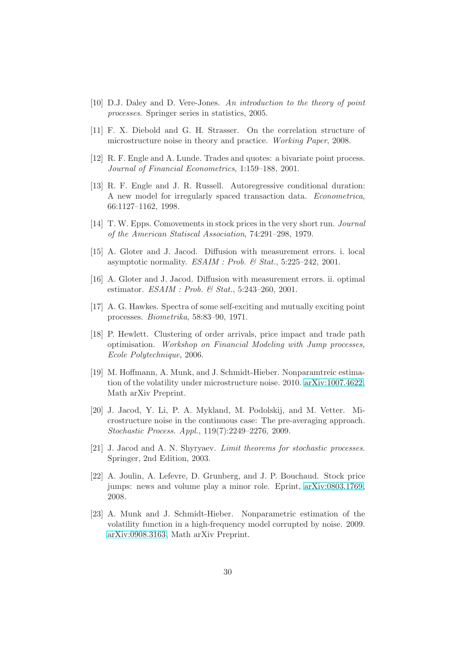- <span id="page-29-11"></span><span id="page-29-3"></span>[10] D.J. Daley and D. Vere-Jones. *An introduction to the theory of point processes*. Springer series in statistics, 2005.
- <span id="page-29-8"></span>[11] F. X. Diebold and G. H. Strasser. On the correlation structure of microstructure noise in theory and practice. *Working Paper*, 2008.
- <span id="page-29-7"></span>[12] R. F. Engle and A. Lunde. Trades and quotes: a bivariate point process. *Journal of Financial Econometrics*, 1:159–188, 2001.
- [13] R. F. Engle and J. R. Russell. Autoregressive conditional duration: A new model for irregularly spaced transaction data. *Econometrica*, 66:1127–1162, 1998.
- <span id="page-29-1"></span><span id="page-29-0"></span>[14] T. W. Epps. Comovements in stock prices in the very short run. *Journal of the American Statiscal Association*, 74:291–298, 1979.
- <span id="page-29-2"></span>[15] A. Gloter and J. Jacod. Diffusion with measurement errors. i. local asymptotic normality. *ESAIM : Prob. & Stat.*, 5:225–242, 2001.
- <span id="page-29-10"></span>[16] A. Gloter and J. Jacod. Diffusion with measurement errors. ii. optimal estimator. *ESAIM : Prob. & Stat.*, 5:243–260, 2001.
- <span id="page-29-9"></span>[17] A. G. Hawkes. Spectra of some self-exciting and mutually exciting point processes. *Biometrika*, 58:83–90, 1971.
- [18] P. Hewlett. Clustering of order arrivals, price impact and trade path optimisation. *Workshop on Financial Modeling with Jump processes, Ecole Polytechnique*, 2006.
- <span id="page-29-6"></span>[19] M. Hoffmann, A. Munk, and J. Schmidt-Hieber. Nonparamtreic estimation of the volatility under microstructure noise. 2010. [arXiv:1007.4622,](http://arxiv.org/abs/1007.4622) Math arXiv Preprint.
- <span id="page-29-4"></span>[20] J. Jacod, Y. Li, P. A. Mykland, M. Podolskij, and M. Vetter. Microstructure noise in the continuous case: The pre-averaging approach. *Stochastic Process. Appl.*, 119(7):2249–2276, 2009.
- <span id="page-29-12"></span>[21] J. Jacod and A. N. Shyryaev. *Limit theorems for stochastic processes*. Springer, 2nd Edition, 2003.
- <span id="page-29-13"></span>[22] A. Joulin, A. Lefevre, D. Grunberg, and J. P. Bouchaud. Stock price jumps: news and volume play a minor role. Eprint, [arXiv:0803.1769,](http://arxiv.org/abs/0803.1769) 2008.
- <span id="page-29-5"></span>[23] A. Munk and J. Schmidt-Hieber. Nonparametric estimation of the volatility function in a high-frequency model corrupted by noise. 2009. [arXiv:0908.3163,](http://arxiv.org/abs/0908.3163) Math arXiv Preprint.